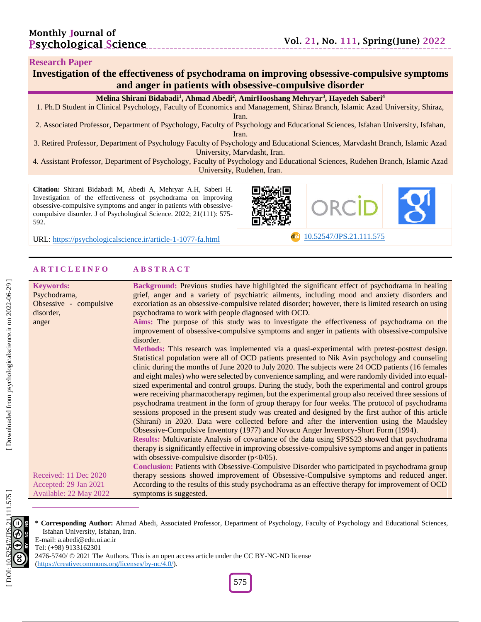#### **Research Paper**

# Investigation of the effectiveness of psychodrama on improving obsessive-compulsive symptoms **and anger in patients with obsessive -compulsive disorder**

#### **Melina Shirani Bidabadi 1 , Ahmad Abedi 2 , Amir Hooshang Mehryar 3 , Hayedeh Saberi 4**

1. Ph .D Student in Clinical Psychology, Faculty of Economics and Management, Shiraz Branch, Islamic Azad University, Shiraz, Iran .

2. Associated Professor, Department of Psychology, Faculty of Psychology and Educational Sciences, Isfahan University, Isfahan, Iran.

3. Retired Professor, Department of Psychology Faculty of Psychology and Educational Sciences, Marvdasht Branch, Islamic Azad University, Marvdasht, Iran .

4. Assistant Professor, Department of Psychology, Faculty of Psychology and Educational Sciences, Rudehen Branch, Islamic Azad University, Rudehen, Iran .

**Citation:** Shirani Bidabadi M, Abedi A, Mehryar A.H, Saberi H. Investigation of the effectiveness of psychodrama on improving obsessive -compulsive symptoms and anger in patients with obsessive compulsive disorder. J of Psychological Science. 2022; 21(111): 575-592 .

URL: [https://psychologicalscience.ir/article](https://psychologicalscience.ir/article-1-1077-fa.html)-1-1077



-fa.html [10.52547/JPS.21.111.575](https://psychologicalscience.ir/article-1-1077-fa.html)

#### **A R T I C L E I N F O A B S T R A C T**

| <b>Keywords:</b>       | Background: Previous studies have highlighted the significant effect of psychodrama in healing       |
|------------------------|------------------------------------------------------------------------------------------------------|
| Psychodrama,           | grief, anger and a variety of psychiatric ailments, including mood and anxiety disorders and         |
| Obsessive - compulsive | excoriation as an obsessive-compulsive related disorder; however, there is limited research on using |
| disorder,              | psychodrama to work with people diagnosed with OCD.                                                  |
| anger                  | Aims: The purpose of this study was to investigate the effectiveness of psychodrama on the           |
|                        | improvement of obsessive-compulsive symptoms and anger in patients with obsessive-compulsive         |
|                        | disorder.                                                                                            |
|                        | Methods: This research was implemented via a quasi-experimental with pretest-posttest design.        |
|                        | Statistical population were all of OCD patients presented to Nik Avin psychology and counseling      |
|                        | clinic during the months of June 2020 to July 2020. The subjects were 24 OCD patients (16 females)   |
|                        | and eight males) who were selected by convenience sampling, and were randomly divided into equal-    |
|                        | sized experimental and control groups. During the study, both the experimental and control groups    |
|                        | were receiving pharmacotherapy regimen, but the experimental group also received three sessions of   |
|                        | psychodrama treatment in the form of group therapy for four weeks. The protocol of psychodrama       |
|                        | sessions proposed in the present study was created and designed by the first author of this article  |
|                        | (Shirani) in 2020. Data were collected before and after the intervention using the Maudsley          |
|                        | Obsessive-Compulsive Inventory (1977) and Novaco Anger Inventory-Short Form (1994).                  |
|                        | Results: Multivariate Analysis of covariance of the data using SPSS23 showed that psychodrama        |
|                        | therapy is significantly effective in improving obsessive-compulsive symptoms and anger in patients  |
|                        | with obsessive-compulsive disorder $(p<0/05)$ .                                                      |
|                        | Conclusion: Patients with Obsessive-Compulsive Disorder who participated in psychodrama group        |
| Received: 11 Dec 2020  | therapy sessions showed improvement of Obsessive-Compulsive symptoms and reduced anger.              |
| Accepted: 29 Jan 2021  | According to the results of this study psychodrama as an effective therapy for improvement of OCD    |
| Available: 22 May 2022 | symptoms is suggested.                                                                               |



**\* Corresponding Author:** Ahmad Abedi , Associated Professor, Department of Psychology, Faculty of Psychology and Educational Sciences, Isfahan University, Isfahan, Iran.

E -mail: a.abedi@edu.ui.ac.ir Tel: (+98) 9133162301

2476-5740/ © 2021 The Authors. This is an open access article under the CC BY-NC-ND license [\(https://creativecommons.org/licenses/by](https://creativecommons.org/licenses/by-nc/4.0/) -nc/4.0/).

575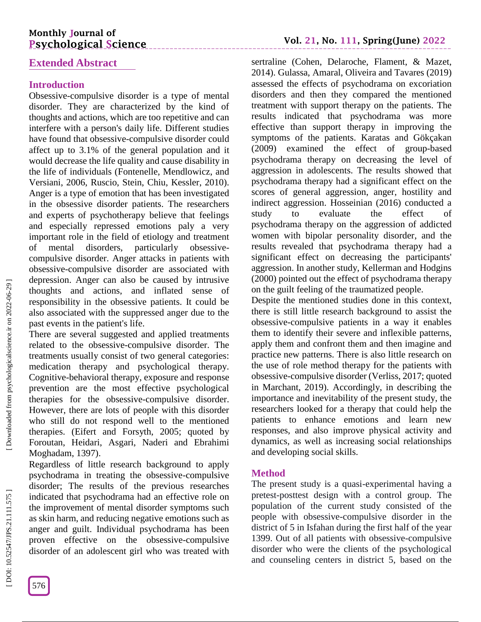# **Monthly Journal of Psychological Science**

# **Extended Abstract**

# **Introduction**

Obsessive -compulsive disorder is a type of mental disorder. They are characterized by the kind of thoughts and actions, which are too repetitive and can interfere with a person's daily life. Different studies have found that obsessive -compulsive disorder could affect up to 3.1% of the general population and it would decrease the life quality and cause disability in the life of individuals (Fontenelle, Mendlowicz, and Versiani, 2006, Ruscio, Stein, Chiu, Kessler, 2010). Anger is a type of emotion that has been investigated in the obsessive disorder patients. The researchers and experts of psychotherapy believe that feelings and especially repressed emotions paly a very important role in the field of etiology and treatment of mental disorders, particularly obsessive compulsive disorder. Anger attacks in patients with obsessive -compulsive disorder are associated with depression. Anger can also be caused by intrusive thoughts and actions, and inflated sense of responsibility in the obsessive patients. It could be also associated with the suppressed anger due to the past events in the patient's life.

There are several suggested and applied treatments related to the obsessive -compulsive disorder. The treatments usually consist of two general categories: medication therapy and psychological therapy. Cognitive -behavioral therapy, exposure and response prevention are the most effective psychological therapies for the obsessive -compulsive disorder. However, there are lots of people with this disorder who still do not respond well to the mentioned therapies. (Eifert and Forsyth, 2005; quoted by Foroutan, Heidari, Asgari, Naderi and Ebrahimi Moghadam, 1397).

Regardless of little research background to apply psychodrama in treating the obsessive -compulsive disorder; The results of the previous researches indicated that psychodrama had an effective role on the improvement of mental disorder symptoms such as skin harm, and reducing negative emotions such as anger and guilt. Individual psychodrama has been proven effective on the obsessive -compulsive disorder of an adolescent girl who was treated with

sertraline (Cohen, Delaroche, Flament, & Mazet, 2014). Gulassa, Amaral, Oliveira and Tavares (2019) assessed the effects of psychodrama on excoriation disorders and then they compared the mentioned treatment with support therapy on the patients. The results indicated that psychodrama was more effective than support therapy in improving the symptoms of the patients. Karatas and Gökçakan (2009) examined the effect of group -based psychodrama therapy on decreasing the level of aggression in adolescents. The results showed that psychodrama therapy had a significant effect on the scores of general aggression, anger, hostility and indirect aggression. Hosseinian (2016) conducted a study to evaluate the effect of psychodrama therapy on the aggression of addicted women with bipolar personality disorder, and the results revealed that psychodrama therapy had a significant effect on decreasing the participants' aggression. In another study, Kellerman and Hodgins (2000) pointed out the effect of psychodrama therapy on the guilt feeling of the traumatized people.

Despite the mentioned studies done in this context, there is still little research background to assist the obsessive -compulsive patients in a way it enables them to identify their severe and inflexible patterns, apply them and confront them and then imagine and practice new patterns. There is also little research on the use of role method therapy for the patients with obsessive -compulsive disorder (Verliss, 2017; quoted in Marchant, 2019). Accordingly, in describing the importance and inevitability of the present study, the researchers looked for a therapy that could help the patients to enhance emotions and learn new responses, and also improve physical activity and dynamics, as well as increasing social relationships and developing social skills.

## **Method**

The present study is a quasi -experimental having a pretest -posttest design with a control group. The population of the current study consisted of the people with obsessive -compulsive disorder in the district of 5 in Isfahan during the first half of the year 1399. Out of all patients with obsessive -compulsive disorder who were the clients of the psychological and counseling centers in district 5, based on the

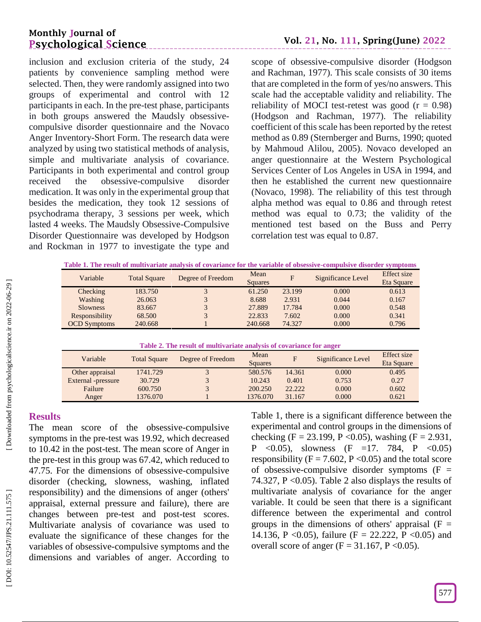# **Monthly Journal of Psychological Science**

inclusion and exclusion criteria of the study, 24 patients by convenience sampling method were selected. Then, they were randomly assigned into two groups of experimental and control with 12 participants in each. In the pre -test phase, participants in both groups answered the Maudsly obsessive compulsive disorder questionnaire and the Novaco Anger Inventory -Short Form. The research data were analyzed by using two statistical methods of analysis, simple and multivariate analysis of covariance. Participants in both experimental and control group received the obsessive -compulsive disorder medication. It was only in the experimental group that besides the medication, they took 12 sessions of psychodrama therapy, 3 sessions per week, which lasted 4 weeks. The Maudsly Obsessive -Compulsive Disorder Questionnaire was developed by Hodgson and Rockman in 1977 to investigate the type and

scope of obsessive -compulsive disorder (Hodgson and Rachman, 1977). This scale consists of 30 items that are completed in the form of yes/no answers. This scale had the acceptable validity and reliability. The reliability of MOCI test-retest was good  $(r = 0.98)$ (Hodgson and Rachman, 1977). The reliability coefficient of this scale has been reported by the retest method as 0.89 (Sternberger and Burns, 1990; quoted by Mahmoud Alilou, 2005). Novaco developed an anger questionnaire at the Western Psychological Services Center of Los Angeles in USA in 1994, and then he established the current new questionnaire (Novaco, 1998). The reliability of this test through alpha method was equal to 0.86 and through retest method was equal to 0.73; the validity of the mentioned test based on the Buss and Perry correlation test was equal to 0.87.

|  | Table 1. The result of multivariate analysis of covariance for the variable of obsessive-compulsive disorder symptoms |
|--|-----------------------------------------------------------------------------------------------------------------------|

| Variable            | <b>Total Square</b> | Degree of Freedom | Mean<br><b>Squares</b> | F      | Significance Level | Effect size<br>Eta Square |
|---------------------|---------------------|-------------------|------------------------|--------|--------------------|---------------------------|
| Checking            | 183.750             |                   | 61.250                 | 23.199 | 0.000              | 0.613                     |
| Washing             | 26.063              |                   | 8.688                  | 2.931  | 0.044              | 0.167                     |
| <b>Slowness</b>     | 83.667              |                   | 27.889                 | 17.784 | 0.000              | 0.548                     |
| Responsibility      | 68.500              |                   | 22.833                 | 7.602  | 0.000              | 0.341                     |
| <b>OCD</b> Symptoms | 240.668             |                   | 240.668                | 74.327 | 0.000              | 0.796                     |

#### **Table 2. The result of multivariate analysis of covariance for anger**

| Variable           | <b>Total Square</b> | Degree of Freedom | Mean<br>Squares | E      | Significance Level | Effect size<br>Eta Square |
|--------------------|---------------------|-------------------|-----------------|--------|--------------------|---------------------------|
| Other appraisal    | 1741.729            |                   | 580.576         | 14.361 | 0.000              | 0.495                     |
| External -pressure | 30.729              |                   | 10.243          | 0.401  | 0.753              | 0.27                      |
| Failure            | 600.750             |                   | 200.250         | 22.222 | 0.000              | 0.602                     |
| Anger              | 1376.070            |                   | 1376.070        | 31.167 | 0.000              | 0.621                     |

# **Results**

The mean score of the obsessive -compulsive symptoms in the pre -test was 19.92, which decreased to 10.42 in the post -test. The mean score of Anger in the pre -test in this group was 67.42, which reduced to 47.75. For the dimensions of obsessive -compulsive disorder (checking, slowness, washing, inflated responsibility) and the dimensions of anger (others' appraisal, external pressure and failure), there are changes between pre -test and post -test scores. Multivariate analysis of covariance was used to evaluate the significance of these changes for the variables of obsessive -compulsive symptoms and the dimensions and variables of anger. According to

Table 1, there is a significant difference between the experimental and control groups in the dimensions of checking (F = 23.199, P < 0.05), washing (F = 2.931, P < 0.05), slowness (F = 17. 784, P < 0.05) responsibility ( $F = 7.602$ ,  $P < 0.05$ ) and the total score of obsessive-compulsive disorder symptoms  $(F =$ 74.327,  $P \le 0.05$ ). Table 2 also displays the results of multivariate analysis of covariance for the anger variable. It could be seen that there is a significant difference between the experimental and control groups in the dimensions of others' appraisal  $(F =$ 14.136, P < 0.05), failure (F = 22.222, P < 0.05) and overall score of anger  $(F = 31.167, P < 0.05)$ .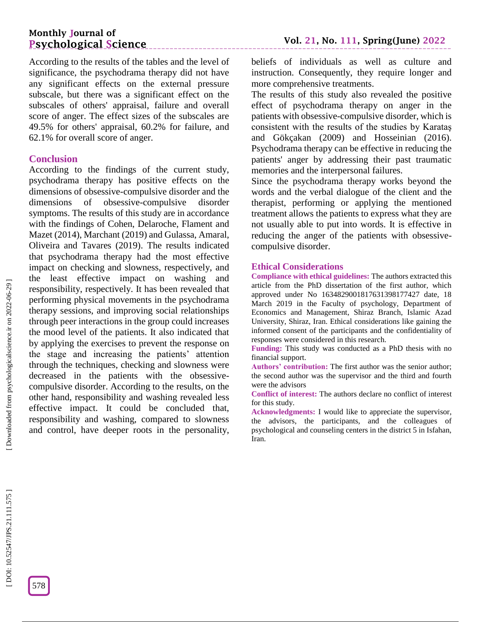# **Monthly Journal of Psychological Science**

According to the results of the tables and the level of significance, the psychodrama therapy did not have any significant effects on the external pressure subscale, but there was a significant effect on the subscales of others' appraisal, failure and overall score of anger. The effect sizes of the subscales are 49.5% for others' appraisal, 60.2% for failure, and 62.1% for overall score of anger.

## **Conclusion**

According to the findings of the current study, psychodrama therapy has positive effects on the dimensions of obsessive -compulsive disorder and the dimensions of obsessive -compulsive disorder symptoms. The results of this study are in accordance with the findings of Cohen, Delaroche, Flament and Mazet (2014), Marchant (2019) and Gulassa, Amaral, Oliveira and Tavares (2019). The results indicated that psychodrama therapy had the most effective impact on checking and slowness, respectively, and the least effective impact on washing and responsibility, respectively. It has been revealed that performing physical movements in the psychodrama therapy sessions, and improving social relationships through peer interactions in the group could increases the mood level of the patients. It also indicated that by applying the exercises to prevent the response on the stage and increasing the patients' attention through the techniques, checking and slowness were decreased in the patients with the obsessivecompulsive disorder. According to the results, on the other hand, responsibility and washing revealed less effective impact. It could be concluded that, responsibility and washing, compared to slowness and control, have deeper roots in the personality,

beliefs of individuals as well as culture and instruction. Consequently, they require longer and more comprehensive treatments.

The results of this study also revealed the positive effect of psychodrama therapy on anger in the patients with obsessive -compulsive disorder, which is consistent with the results of the studies by Karataş and Gökçakan (2009) and Hosseinian (2016). Psychodrama therapy can be effective in reducing the patients' anger by addressing their past traumatic memories and the interpersonal failures.

Since the psychodrama therapy works beyond the words and the verbal dialogue of the client and the therapist, performing or applying the mentioned treatment allows the patients to express what they are not usually able to put into words. It is effective in reducing the anger of the patients with obsessivecompulsive disorder.

#### **Ethical Considerations**

**Compliance with ethical guidelines:** The authors extracted this article from the PhD dissertation of the first author, which approved under No 1634829001817631398177427 date, 18 March 2019 in the Faculty of psychology, Department of Economics and Management, Shiraz Branch, Islamic Azad University, Shiraz, Iran. Ethical considerations like gaining the informed consent of the participants and the confidentiality of responses were considered in this research.

**Funding:** This study was conducted as a PhD thesis with no financial support.

**Authors' contribution:** The first author was the senior author; the second author was the supervisor and the third and fourth were the advisors

**Conflict of interest:** The authors declare no conflict of interest for this study.

**Acknowledgments:** I would like to appreciate the supervisor, the advisors, the participants, and the colleagues of psychological and counseling centers in the district 5 in Isfahan, Iran.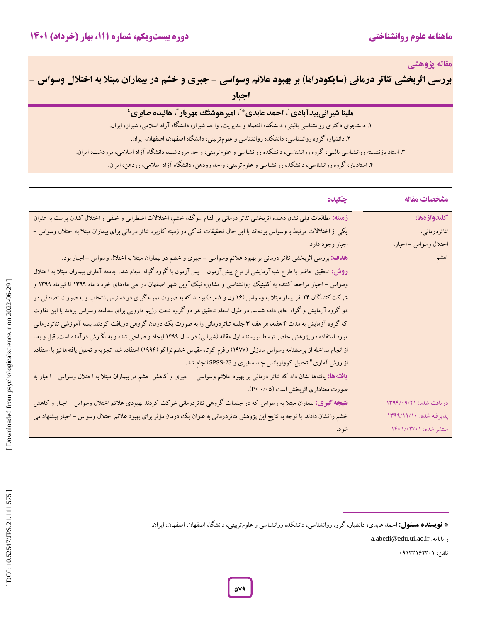**مقاله پژوهشی**

بررسی اثربخشی تئاتر درمانی (سایکودراما) بر بهبود علائم وسواسی – جبری و خشم در بیماران مبتلا به اختلال وسواس – **اجبار**

| <b>ً ملینا شیرانی بیدآبادی ْ، احمد عابدی * ً، امیرهوشنگ مهریار ً، هائیده صابری ٔ</b>                                                 |
|--------------------------------------------------------------------------------------------------------------------------------------|
| ۱. دانشجوی دکتری روانشناسی بالینی، دانشکده اقتصاد و مدیریت، واحد شیراز، دانشگاه آزاد اسلامی، شیراز، ایران.                           |
| ۲. دانشیار، گروه روانشناسی، دانشکده روانشناسی و علومتربیتی، دانشگاه اصفهان، اصفهان، ایران.                                           |
| ۳. استاد بازنشسته روانشناسی بالینی، گروه روانشناسی، دانشکده روانشناسی و علومتربیتی، واحد مرودشت، دانشگاه آزاد اسلامی، مرودشت، ایران. |
| ۴. استادیار، گروه روانشناسی، دانشکده روانشناسی و علومتربیتی، واحد رودهن، دانشگاه آزاد اسلامی، رودهن، ایران.                          |

| مشخصات مقاله            | چکیده                                                                                                                                |
|-------------------------|--------------------------------------------------------------------------------------------------------------------------------------|
| كليدواژهها:             | زهینه: مطالعات قبلی نشان دهنده اثربخشی تئاتر درمانی بر التیام سوگ، خشم، اختلالات اضطرابی و خلقی و اختلال کندن پوست به عنوان          |
| تئاتردرمانى،            | یکی از اختلالات مرتبط با وسواس بودهاند با این حال تحقیقات اندکی در زمینه کاربرد تئاتر درمانی برای بیماران مبتلا به اختلال وسواس –    |
| اختلال وسواس – اجبار،   | اجبار وجود دارد.                                                                                                                     |
| خشم                     | هدف: بررسی اثربخشی تئاتر درمانی بر بهبود علائم وسواسی – جبری و خشم در بیماران مبتلا به اختلال وسواس –اجبار بود.                      |
|                         | روش: تحقیق حاضر با طرح شبهآزمایشی از نوع پیشآزمون – پسآزمون با گروه گواه انجام شد. جامعه آماری بیماران مبتلا به اختلال               |
|                         | وسواس – اجبار مراجعه کننده به کلینیک روانشناسی و مشاوره نیک آوین شهر اصفهان در طی ماههای خرداد ماه ۱۳۹۹ تا تیرماه ۱۳۹۹ و             |
|                         | شرکت کنندگان ۲۴ نفر بیمار مبتلا به وسواس (۱۶ زن و ۸ مرد) بودند که به صورت نمونهگیری در دسترس انتخاب و به صورت تصادفی در              |
|                         | دو گروه آزمایش و گواه جای داده شدند. در طول انجام تحقیق هر دو گروه تحت رژیم دارویی برای معالجه وسواس بودند با این تفاوت              |
|                         | که گروه آزمایش به مدت ۴ هفته، هر هفته ۳ جلسه تئاتردرمانی را به صورت یک درمان گروهی دریافت کردند. بسته آموزشی تئاتردرمانی             |
|                         | مورد استفاده در پژوهش حاضر توسط نویسنده اول مقاله (شیرانی) در سال ۱۳۹۹ ایجاد و طراحی شده و به نگارش درآمده است. قبل و بعد            |
|                         | از انجام مداخله از پرسشنامه وسواس مادزلی (۱۹۷۷) و فرم کوتاه مقیاس خشم نواکو (۱۹۹۴) استفاده شد. تجزیه و تحلیل یافتهها نیز با استفاده  |
|                         | از روش آماری" تحلیل کوواریانس چند متغیری و SPSS-23 انجام شد.                                                                         |
|                         | <b>یافتهها:</b> یافتهها نشان داد که تئاتر درمانی بر بهبود علائم وسواسی – جبری و کاهش خشم در بیماران مبتلا به اختلال وسواس – اجبار به |
|                         | صورت معناداری اثربخش است (P< ).                                                                                                      |
| دریافت شده: ۱۳۹۹/۰۹/۲۱  | <b>نتیجه گیری:</b> بیماران مبتلا به وسواس که در جلسات گروهی تئاتردرمانی شرکت کردند بهبودی علائم اختلال وسواس –اجبار و کاهش           |
| پذیرفته شده: ۱۳۹۹/۱۱/۱۰ | خشم را نشان دادند. با توجه به نتایج این پژوهش تئاتردرمانی به عنوان یک درمان مؤثر برای بهبود علائم اختلال وسواس –اجبار پیشنهاد می     |
| منتشر شده: ۱/۰۳/۰۱/۰۳   | شود.                                                                                                                                 |
|                         |                                                                                                                                      |

تلفن: 95133112391

a.abedi@edu.ui.ac.ir :رایانامه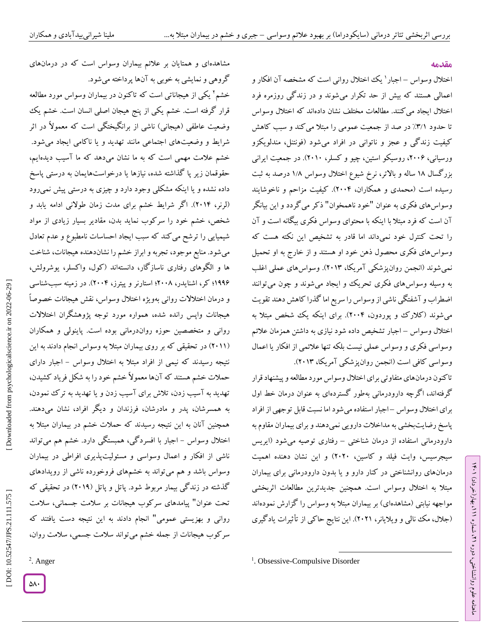مشاهدهای و همتایان بر علائم بیماران وسواس است که در درمانهای<br>گروهی و نمایشی به خوبی به آنها پرداخته میشود.

خشم 2 یکی از هیجاناتی است که تاکنون در بیماران وسواس مورد مطالعه قرار گرفته است. خشم یکی از پنج هیجان اصلی انسان است. خشم یک وضعیت عاطفی (هیجانی) ناشی از برانگیختگی است که معمولاً در اثر

شیمیایی را ترشح می کند که سبب ایجاد احساسات نامطبوع و عدم تعادل<br>میشود. منابع موجود، تجربه و ابراز خشم را نشاندهنده هیجانات، شناخت<br>ها و الگوهای رفتاری ناسازگار، دانستهاند (کول، واکسلر، یوشرولش،

۱۹۹۶؛ کر، اشنایدر، ۲۰۰۸؛ استارنر و پیترز، ۲۰۰۴). در زمینه سببشناسی و درمان اختالالت روانی بهویژه اختالل وسواس، نقش هیجانات خصوصاً هیجانات واپس رانده شده، همواره مورد توجه پژوهشگران اختالالت

روانی و متخصصین حوزه رواندرمانی بوده است. پاینولی و همکاران

(۲۰۱۱) در تحقیقی که بر روی بیماران مبتلا به وسواس انجام دادند به این

نتیجه رسیدند که نیمی از افراد مبتلاً به اختلال وسواس – اجبار دارای حمالت خشم هستند که آنها معموالً خشم خود را به شکل فریاد کشیدن، تهدید به آسیب زدن، تالش برای آسیب زدن و یا تهدید به ترک نمودن، به همسرشان، پدر و مادرشان، فرزندان و دیگر افراد، نشان میدهند.

همچنین آنان به این نتیجه رسیدند که حمالت خشم در بیماران مبتال به

اختلال وسواس – اجبار با افسردگی، همبستگی دارد. خشم هم میتواند ناشی از افکار و اعمال وسواسی و مسئولیتپذیری افراطی در بیماران وسواس باشد و هم میتواند به خشمهای فروخورده ناشی از رویدادهای گذشته در زندگی بیمار مربوط شود. پاتل و پاتل )2915( در تحقیقی که

پیامدهای سرکوب هیجانات بر سالمت جسمانی، سالمت تحت عنوان"

روانی و بهزیستی عمومی" انجام دادند به این نتیجه دست یافتند که 2 سرکوب هیجانات از جمله خشم میتواند سالمت جسمی، سالمت روان،

#### **مقدمه**

ラン

، بهار)خرداد( 111

، شماره 21

ماهنامه علوم روانشناختی، دوره

اختلال وسواس – اجبار ' یک اختلال روانی است که مشخصه آن افکار و اعمالی هستند که بیش از حد تکرار میشوند و در زندگی روزمره فرد اختالل ایجاد میکنند. مطالعات مختلف نشان دادهاند که اختالل وسواس تا حدود ۳/۱٪ در صد از جمعیت عمومی را مبتلاً می کند و سبب کاهش کیفیت زندگی و عجز و ناتوانی در افراد میشود (فونتنل، مندلویکزو ورسیانی، ۲۰۰۶، روسیکو استین، چیو و کسلر، ۲۰۱۰). در جمعیت ایرانی بزر کسال ۱۸ ساله و بالاتر، نرخ شیوع اختلال وسواس ۱/۸ درصد به ثبت رسیده است (محمدی و همکاران، ۲۰۰۴). کیفیت مزاحم و ناخوشایند وسواسهای فکری به عنوان "خود ناهمخوان" ذکر میگردد و این بیانگر آن است که فرد مبتال با اینکه با محتوای وسواس فکری بیگانه است و آن را تحت کنترل خود نمیداند اما قادر به تشخیص این نکته هست که وسواسهای فکری محصول ذهن خود او هستند و از خارج به او تحمیل نمیشوند (انجمن روانپزشکی آمریکا، ۲۰۱۳). وسواسهای عملی اغلب به وسیله وسواسهای فکری تحریک و ایجاد میشوند و چون میتوانند اضطراب و آشفتگی ناشی از وسواس را سریع اما کدرا کاهش دهند تقویت میشوند (کلارک و پوردون، ۲۰۰۴). برای اینکه یک شخص مبتلا به اختلال وسواس – اجبار تشخیص داده شود نیازی به داشتن همزمان علائم وسواسی فکری و وسواس عملی نیست بلکه تنها علائمی از افکار یا اعمال<br>وسواسی کافی است (انجمن روانپزشکی آمریکا، ۲۰۱۳).

تاکنون درمانهای متفاوتی برای اختالل وسواس مورد مطالعه و پیشنهاد قرار گرفتهاند، اگرچه دارودرمانی بهطور گستردهای به عنوان درمان خط اول برای اختلال وسواس –اجبار استفاده میشود اما نسبت قابل توجهی از افراد پاسخ رضایتبخشی به مداخالت دارویی نمیدهند و برای بیماران مقاوم به دارودرمانی استفاده از درمان شناختی – رفتاری توصیه میشود (ایریس سیجرسیس، وایت فیلد و کاسین، 2929( و این نشان دهنده اهمیت درمانهای روانشناختی در کنار دارو و یا بدون دارودرمانی برای بیماران مبتال به اختالل وسواس است. همچنین جدیدترین مطالعات اثربخشی مواجهه نیابتی (مشاهدهای) بر بیماران مبتلاً به وسواس را گزارش نمودهاند (جلال، مک نالی و ویلایانر، ۲۰۲۱). این نتایج حاکی از تأثیرات یادگیری

 $\overline{\phantom{a}}$ <sup>1</sup>. Obsessive-Compulsive Disorder

<sup>2</sup>. Anger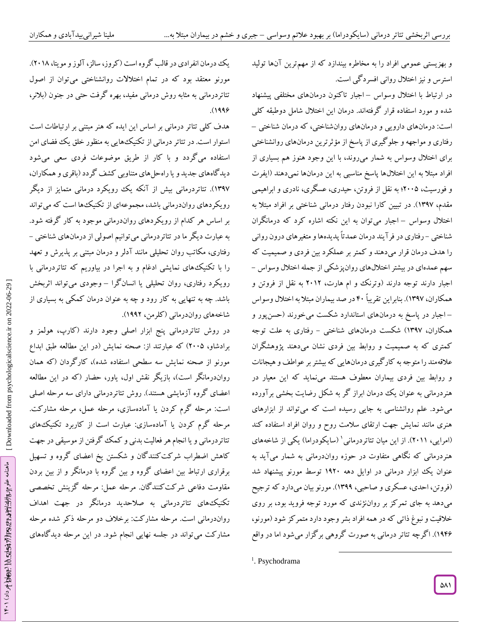و بهزیستی عمومی افراد را به مخاطره بیندازد که از مهمترین آنها تولید استرس و نیز اختالل روانی افسردگی است.

در ارتباط با اختلال وسواس –اجبار تاکنون درمانهای مختلفی پیشنهاد شده و مورد استفاده قرار گرفتهاند. درمان این اختلال شامل دوطبقه کلی<br>است: درمانهای دارویی و درمانهای روانشناختی، که درمان شناختی – رفتاری و مواجهه و جلوگیری از پاسخ از مؤثرترین درمانهای روانشناختی برای اختالل وسواس به شمار میروند، با این وجود هنوز هم بسیاری از افراد مبتلا به این اختلالها پاسخ مناسبی به این درمانها نمیدهند (آیفرت و فورسیث، 2999؛ به نقل از فروتن، حیدری، عسگری، نادری و ابراهیمی مقدم، 1357(. در تبیین کارا نبودن رفتار درمانی شناختی بر افراد مبتال به اختلال وسواس –اجبار میتوان به این نکته اشاره کرد که درمانگران شناختی – رفتاری در فر آیند درمان عمدتاً پدیدهها و متغیرهای درون روانی را هدف درمان قرار میدهند و کمتر بر عملکرد بین فردی و صمیمیت که<br>سهم عمدهای در بیشتر اختلالهای روانپزشکی از جمله اختلال وسواس -اجبار دارند توجه دارند )وترنک و ام هارت، 2912 به نقل از فروتن و همکاران، 1357(. بنابراین تقریباً 49 در صد بیماران مبتال به اختالل وسواس اجبار در پاسخ به درمانهای استاندارد شکست میخورند )حسنپور و – همکاران، ۱۳۹۷) شکست درمانهای شناختی – رفتاری به علت توجه کمتری که به صمیمیت و روابط بین فردی نشان میدهند پژوهشگران عالقهمند را متوجه به کارگیری درمانهایی که بیشتر بر عواطف و هیجانات ر و روابط بین فردی بیماران معطوف هستند مینماید که این معیار د هنردرمانی به عنوان یک درمان ابراز کر به شکل رضایت بخشی برآورده میشود. علم روانشناسی به جایی رسیده است که میتواند از ابزارهای هنری مانند نمایش جهت ارتقای سالمت روح و روان افراد استفاده کند (امرایی، ۲۰۱۱). از این میان تئاتردرمانی' (سایکودراما) یکی از شاخههای هنردرمانی که نگاهی متفاوت در حوزه رواندرمانی به شمار میآید به عنوان یک ابزار درمانی در اوایل دهه ۱۹۲۰ توسط مورنو پیشنهاد شد )فروتن، احدی،عسکری و صاحبی، 1355(. مورنو بیان میدارد که ترجیح میدهد به جای تمرکز بر رواننژندی که مورد توجه فروید بود، بر روی خالقیت و نبوغ ذاتی که در همه افراد بشر وجود دارد متمرکز شود )مورنو، 1541(. اگرچه تئاتر درمانی به صورت گروهی برگزار میشود اما در واقع

 $\overline{\phantom{a}}$ 

یک درمان انفرادی در قالب کروه است ( گروز، سالز، آلوز و مویتا، ۲۰۱۸). مورنو معتقد بود که در تمام اختالالت روانشناختی میتوان از اصول تئاتردرمانی به مثابه روش درمانی مفید، بهره کرفت حتی در جنون (بلانر، .(۱۹۹۶

هدف کلی تئاتر درمانی بر اساس این ایده که هنر مبتنی بر ارتباطات است استوار است. در تئاتر درمانی از تکنیکهایی به منظور خلق یک فضای امن استفاده میگردد و با کار از طریق موضوعات فردی سعی میشود دیدگاههای جدید و یا راهحلهای متناوبی کشف گردد )باقری وهمکاران، 1357(. تئاتردرمانی بیش از آنکه یک رویکرد درمانی متمایز از دیگر رویکردهای رواندرمانی باشد، مجموعهای از تکنیکها است که میتواند بر اساس هر کدام از رویکردهای رواندرمانی موجود به کار گرفته شود.<br>به عبارت دیگر ما در تئاتردرمانی میتوانیم اصولی از درمانهای شناختی – رفتاری، مکاتب روان تحلیلی مانند آدلر و درمان مبتنی بر پذیرش و تعهد را با تکنیکهای نمایشی ادغام و به اجرا در بیاوریم که تئاتردرمانی با رویکرد رفتاری، روان تحلیلی یا انسانگرا – وجودی می تواند اثربخش باشد. چه به تنهایی به کار رود و چه به عنوان درمان کمکی به بسیاری از شاخههای رواندرمانی )کلرمن، 1552(.

در روش تئاتردرمانی پنج ابزار اصلی وجود دارند )کارپ، هولمز و برادشاو، 2999( که عبارتند از: صحنه نمایش )در این مطالعه طبق ابداع مورنو از صحنه نمایش سه سطحی استفاده شده)، کارگردان (که همان رواندرمانگر است)، بازیگر نقش اول، یاور، حضار (که در این مطالعه اعضای گروه آزمایشی هستند). روش تئاتردرمانی دارای سه مرحله اصلی است: مرحله گرم کردن یا آمادهسازی، مرحله عمل، مرحله مشارکت. مرحله گرم کردن یا آمادهسازی: عبارت است از کاربرد تکنیکهای تئاتردرمانی ویا انجام هرفعالیت بدنی و کمک گرفتن از موسیقی در جهت کاهش اضطراب شرکتکنندگان و شکستن یخ اعضای گروه و تسهیل برقراری ارتباط بین اعضای گروه و بین گروه با درمانگر و از بین بردن مقاومت دفاعی شرکتکنندگان. مرحله عمل: مرحله گزینش تخصصی تکنیکهای تئاتردرمانی به صالحدید درمانگر در جهت اهداف رواندرمانی است. مرحله مشارکت: برخالف دو مرحله ذکر شده مرحله مشارکت میتواند در جلسه نهایی انجام شود. در این مرحله دیدگاههای

<sup>&</sup>lt;sup>1</sup>. Psychodrama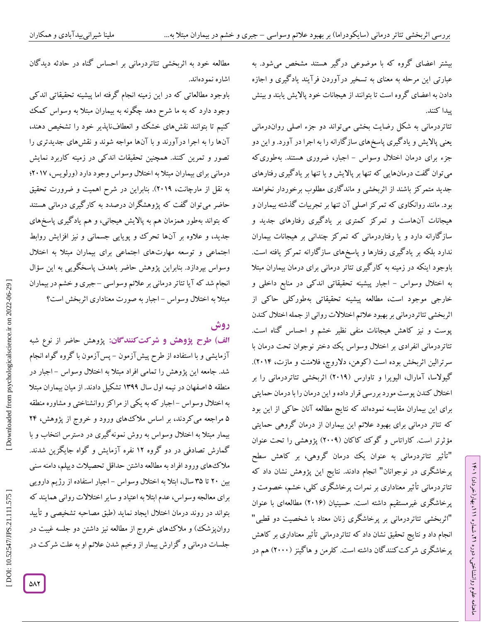بیشتر اعضای گروه که با موضوعی درگیر هستند مشخص میشود. به عبارتی این مرحله به معنای به تسخیر درآوردن فرآیند یادگیری و اجازه دادن به اعضای گروه است تا بتوانند از هیجانات خود پاالیش یابند و بینش پیدا کنند.

تئاتردرمانی به شکل رضایت بخشی میتواند دو جزء اصلی رواندرمانی یعنی پاالیش و یادگیری پاسخهای سازگارانه را به اجرا در آورد. و این دو جزء برای درمان اختلال وسواس – اجبار، ضروری هستند. بهطوری که میتوان گفت درمانهایی که تنها بر پاالیش و یا تنها بر یادگیری رفتارهای جدید متمرکز باشند از اثربخشی و ماندگاری مطلوب برخوردار نخواهند<br>بود. مانند روانکاوی که تمرکز اصلی آن تنها بر تجربیات گذشته بیماران و هیجانات آنهاست و تمرکز کمتری بر یادگیری رفتارهای جدید و سازگارانه دارد و یا رفتاردرمانی که تمرکز چندانی بر هیجانات بیماران ندارد بلکه بر یادگیری رفتارها و پاسخهای سازگارانه تمرکز یافته است. باوجود اینکه در زمینه به کارگیری تئاتر درمانی برای درمان بیماران مبتال به اختلال وسواس – اجبار پیشینه تحقیقاتی اندکی در منابع داخلی و خارجی موجود است، مطالعه پیشینه تحقیقاتی بهطورکلی حاکی از اثربخشی تئاتردرمانی بربهبود عالئم اختالالت روانی از جمله اختالل کندن پوست و نیز کاهش هیجانات منفی نظیر خشم و احساس گناه است. تئاتردرمانی انفرادی بر اختالل وسواس یک دختر نوجوان تحت درمان با سرترالین اتربخش بوده است ( کوهن، دلاروچ، فلامنت و مازت، ۲۰۱۲). کیولاسا، آمارال، الیویرا و تاوارس (۲۰۱۹) اتربخشی تئاتردرمانی را بر اختالل کندن پوست مورد بررسی قرار داده و این درمان را با درمان حمایتی برای این بیماران مقایسه نمودهاند که نتایج مطالعه آنان حاکی از این بود که تئاتر درمانی برای بهبود عالئم این بیماران از درمان گروهی حمایتی مؤثرتر است. کاراتاس و گوک کاکان )2995( پژوهشی را تحت عنوان "تأثیر تئاتردرمانی به عنوان یک درمان گروهی، بر کاهش سطح پرخاشگری در نوجوانان" انجام دادند. نتایج این پژوهش نشان داد که تئاتردرمانی تأثیر معناداری بر نمرات پرخاشگری کلی، خشم، خصومت و پرخاشگری غیرمستقیم داشته است. حسینیان (۲۰۱۶) مطالعهای با عنوان<br>"اثربخشی تئاتردرمانی بر پرخاشگری زنان معتاد با شخصیت دو قطبی" انجام داد و نتایج تحقیق نشان داد که تئاتردرمانی تأثیر معناداری بر کاهش پرخاشگری شرکتکنندگان داشته است. کلرمن و هاگینز (۲۰۰۰) هم در

مطالعه خود به اثربخشی تئاتردرمانی بر احساس گناه در حادثه دیدگان اشاره نمودهاند.

باوجود مطالعاتی که در این زمینه انجام گرفته اما پیشینه تحقیقاتی اندکی وجود دارد که به ما شرح دهد چگونه به بیماران مبتال به وسواس کمک کنیم تا بتوانند نقشهای خشک و انعطافناپذیر خود را تشخیص دهند، آنها را به اجرا درآورند و با آنها مواجه شوند و نقشهای جدیدتری را تصور و تمرین کنند. همچنین تحقیقات اندکی در زمینه کاربرد نمایش درمانی برای بیماران مبتلا به اختلال وسواس وجود دارد (ورلویس، ۲۰۱۷؛ به نقل از مارچانت، 2915(. بنابراین در شرح اهمیت و ضرورت تحقیق حاضر میتوان گفت که پژوهشگران درصدد به کارگیری درمانی هستند که بتواند بهطور همزمان هم به پاالیش هیجانی، و هم یادگیری پاسخهای جدید، و عالوه بر آنها تحرک و پویایی جسمانی و نیز افزایش روابط اجتماعی و توسعه مهارتهای اجتماعی برای بیماران مبتال به اختالل وسواس بپردازد. بنابراین پژوهش حاضر باهدف پاسخگویی به این سؤال انجام شد که آیا تئاتر درمانی بر علائم وسواسی –جبری و خشم در بیماران مبتلاً به اختلال وسواس – اجبار به صورت معناداری آثربخش است؟

# **روش**

ا**لف) طرح پژوهش و شرکت کنندگان:** پژوهش حاضر از نوع شبه آزمایشی و با استفاده از طرح پیش آزمون – پس آزمون با کروه کواه انجام شد. جامعه این پژوهش را تمامی افراد مبتلا به اختلال وسواس – اجبار در منطقه ۵ اصفهان در نیمه اول سال ۱۳۹۹ تشکیل دادند. از میان بیماران مبتلا به اختلال وسواس –اجبار که به یکی از مراکز روانشناختی و مشاوره منطقه ۵ مراجعه می کردند، بر اساس ملاکههای ورود و خروج از پژوهش، ۲۴ بیمار مبتال به اختالل وسواس به روش نمونهگیری در دسترس انتخاب و با گمارش تصادفی در دو گروه 12 نفره آزمایش و گواه جایگزین شدند. مالکهای ورود افراد به مطالعه داشتن حداقل تحصیالت دیپلم،دامنه سنی بین ۲۰ تا ۳۵ سال، ابتلا به اختلال وسواس – اجبار استفاده از رژیم دارویی برای معالجه وسواس،عدم ابتال به اعتیاد و سایر اختالالت روانی همایند که بتواند در روند درمان اختالل ایجاد نماید )طبق مصاحبه تشخیصی و تأیید روانپزشک) و ملاک های خروج از مطالعه نیز داشتن دو جلسه غیبت در جلسات درمانی و گزارش بیمار از وخیم شدن عالئم او به علت شرکت در

10.52547/JPS.21.111.575

 [\[ DOI: 10.52547/JPS.21.111.575 \]](http://dx.doi.org/10.52547/JPS.21.111.575) [\[ Downloaded from psychologicalscience.i](https://psychologicalscience.ir/article-1-1077-fa.html)r on 2022-06-29 ]

Downloaded from psychologicalscien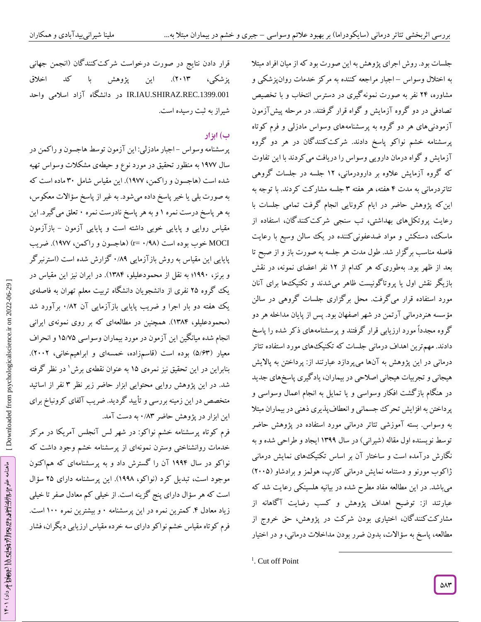جلسات بود.روش اجرای پژوهش به این صورت بود که از میان افراد مبتال به اختلال وسواس –اجبار مراجعه کننده به مرکز خدمات روانپزشکی و مشاوره، 24 نفر به صورت نمونهگیری در دسترس انتخاب و با تخصیص تصادفی در دو گروه آزمایش و گواه قرار گرفتند. در مرحله پیش آزمون آزمودنیهای هر دو گروه به پرسشنامههای وسواس مادزلی و فرم کوتاه پرسشنامه خشم نواکو پاسخ دادند. شرکتکنندگان در هر دو گروه آزمایش و گواه درمان دارویی وسواس را دریافت میکردند با این تفاوت که گروه آزمایش عالوه بر دارودرمانی، 12 جلسه در جلسات گروهی تئاتردرمانی به مدت ۴ هفته، هر هفته ۳ جلسه مشارکت کردند. با توجه به اینکه پژوهش حاضر در ایام کرونایی انجام گرفت تمامی جلسات با رعایت پروتکلهای بهداشتی، تب سنجی شرکتکنندگان، استفاده از ماسک، دستکش و مواد ضدعفونیکننده در یک سالن وسیع با رعایت فاصله مناسب بر گزار شد. طول مدت هر جلسه به صورت باز و از صبح تا بعد از ظهر بود. بهطوری که هر کدام از ۱۲ نفر اعضای نمونه، در نقش بازیکر نقش اول یا پروتاکونیست ظاهر میشدند و تکنیکها برای آنان مورد استفاده قرار میگرفت. محل برگزاری جلسات گروهی در سالن سسه هنردرمانی آرتمن در شهر اصفهان بود. پس از پایان مداخله هر دو مؤ گروه مجدداً مورد ارزیابی قرار گرفتند و پرسشنامههای ذکر شده را پاسخ دادند. مهمترین اهداف درمانی جلسات که تکنیکهای مورد استفاده تئاتر درمانی در این پژوهش به آنها میپردازد عبارتند از: پرداختن به پاالیش هیجانی و تجربیات هیجانی اصالحی در بیماران، یادگیری پاسخهای جدید در هنگام بازگشت افکار وسواسی و یا تمایل به انجام اعمال وسواسی و پرداختن به افزایش تحرک جسمانی و انعطافپذیری ذهنی در بیماران مبتال به وسواس. بسته آموزشی تئاتر درمانی مورد استفاده در پژوهش حاضر توسط نویسنده اول مقاله (شیرانی) در سال ۱۳۹۹ ایجاد و طراحی شده و به نگارش درآمده است و ساختار آن بر اساس تکنیکهای نمایش درمانی ژاکوب مورنو و دستنامه نمایش درمانی کارپ، هولمز و برادشاو )2999( میباشد. در این مطالعه مفاد مطرح شده در بیانیه هلسینکی رعایت شد که عبارتند از: توضیح اهداف پژوهش و کسب رضایت آگاهانه از مشارکتکنندگان، اختیاری بودن شرکت در پژوهش، حق خروج از مطالعه، پاسخ به سؤاالت، بدون ضرر بودن مداخالت درمانی، و در اختیار

 $\overline{\phantom{a}}$ 

قرار دادن نتایج در صورت درخواست شرکت کنندگان (انجمن جهانی پزشکی، 2913(. این پژوهش با کد اخالق .1399.001REC.SHIRAZ.IAU.IR در دانشگاه آزاد اسالمی واحد شیراز به ثبت رسیده است.

# **ب( ابزار**

پرسشنامه وسواس –اجبار مادزلی: این آزمون توسط هاجسون و را کمن در سال 1577 به منظور تحقیق در مورد نوع و حیطهی مشکالت وسواس تهیه شده است )هاجسون و راکمن، 1577(. این مقیاس شامل 39 ماده است که به صورت بلی یا خیر پاسخ داده میشود. به غیر از پاسخ سؤاالت معکوس، به هر پاسخ درست نمره ۱ و به هر پاسخ نادرست نمره ۰ تعلق می کیرد. این مقیاس روایی و پایایی خوبی داشته است و پایایی آزمون – بازآزمون MOCI خوب بوده است (۰/۹۸ =r) (هاجسون و راکمن، ۱۹۷۷). ضریب پایایی این مقیاس به روش بازآزمایی ۰/۸۹ کزارش شده است (استرنبر کر و برنز، ۱۹۹۰؛ به نقل از محمودعلیلو، ۱۳۸۴). در ایران نیز این مقیاس در یک گروه 29 نفری از دانشجویان دانشگاه تربیت معلم تهران به فاصلهی یک هفته دو بار اجرا و ضریب پایایی بازآزمایی آن ۰/۸۲ برآورد شد (محمودعلیلو، ۱۳۸۴). همچنین در مطالعهای که بر روی نمونهی ایرانی انجام شده میانگین این آزمون در مورد بیماران وسواسی ۱۵/۷۵ و انحراف معیار (۵/۶۳) بوده است (قاسمزاده، خمسهای و ابراهیمخانی، ۲۰۰۲). بنابراین در این تحقیق نیز نمرهی 19 به عنوان نقطهی برش 1 در نظر گرفته شد. در این پژوهش روایی محتوایی ابزار حاضر زیر نظر ۳ نفر از اساتید متخصص در این زمینه بررسی و تأیید گردید. ضریب آلفای کرونباخ برای این ابزار در پژوهش حاضر ۸۳/۰ به دست آمد.

فرم کوتاه پرسشنامه خشم نواکو: در شهر لس آنجلس آمریکا در مرکز خدمات روانشناختی وسترن نمونهای از پرسشنامه خشم وجود داشت که نواکو در سال 1554 آن را گسترش داد و به پرسشنامهای که هماکنون موجود است، تبدیل کرد )نواکو، 1558(. این پرسشنامه دارای 29 سؤال است که هر سؤال دارای پنج گزینه است. از خیلی کم معادل صفر تا خیلی زیاد معادل ۴. کمترین نمره در این پرسشنامه ۰ و بیشترین نمره ۱۰۰ است. فرم کوتاه مقیاس خشم نواکو دارای سه خرده مقیاس ارزیابی دیگران، فشار

 [\[ DOI: 10.52547/JPS.21.111.575 \]](http://dx.doi.org/10.52547/JPS.21.111.575) [\[ Downloaded from psychologicalscience.i](https://psychologicalscience.ir/article-1-1077-fa.html)r on 2022-06-29 ] [Downloaded from psychologicalscience.ir on 2022-06-29]

<sup>&</sup>lt;sup>1</sup>. Cut off Point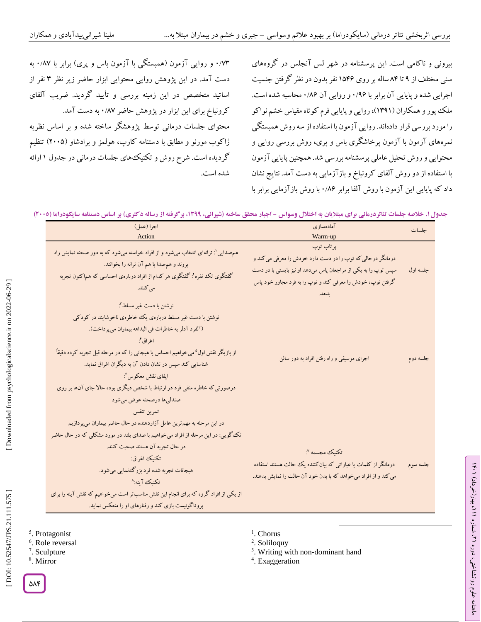۰/۷۳ و روایی آزمون (همبستگی با آزمون باس و پری) برابر با ۰/۸۷ به دست آمد. در این پژوهش روایی محتوایی ابزار حاضر زیر نظر ۳ نفر از اساتید متخصص در این زمینه بررسی و تأیید گردید. ضریب آلفای کرونباخ برای این ابزار در پژوهش حاضر ۰/۸۷ به دست آمد. محتوای جلسات درمانی توسط پژوهشگر ساخته شده و بر اساس نظریه ژاکوب مورنو و مطابق با دستنامه کارپ، هولمز و برادشاو )2999( تنظیم گردیده است. شرح روش و تکنیکهای جلسات درمانی در جدول ۱ ارائه شده است.

بیرونی و ناکامی است. این پرسشنامه در شهر لس آنجلس در گروههای سنی مختلف از ۹ تا ۸۴ ساله بر روی ۱۵۴۶ نفر بدون در نظر کرفتن جنسیت اجرایی شده و پایایی آن برابر با ۰/۹۶ و روایی آن ۰/۸۶ محاسبه شده است. ملک پور و همکاران )1351(،روایی و پایایی فرم کوتاه مقیاس خشم نواکو را مورد بررسی قرار دادهاند. روایی آزمون با استفاده از سه روش همبستگی نمرههای آزمون با آزمون پرخاشگری باس و پری، روش بررسی روایی و محتوایی و روش تحلیل عاملی پرسشنامه بررسی شد. همچنین پایایی آزمون با استفاده از دو روش آلفای کرونباخ و بازآزمایی به دست آمد. نتایج نشان داد که پایایی این آزمون با روش آلفا برابر ۰/۸۶ با روش بازآزمایی برابر با

جدول ۱. خلاصه جلسات تئاتردرمانی برای مبتلایان به اختلال وسواس - اجبار محقق ساخته (شیرانی، ۱۳۹۹، برگرفته از رساله دکتری) بر اساس دستنامه سایکودراما (۲۰۰۵)

| اجرا (عمل)<br>Action                                                                                                                                                                                                                                                                                                                                                                                                                                                | آمادهسازى<br>Warm-up                                                                                                                                                                                     | جلسات    |
|---------------------------------------------------------------------------------------------------------------------------------------------------------------------------------------------------------------------------------------------------------------------------------------------------------------------------------------------------------------------------------------------------------------------------------------------------------------------|----------------------------------------------------------------------------------------------------------------------------------------------------------------------------------------------------------|----------|
| هم صدایی `: ترانهای انتخاب میشود و از افراد خواسته میشود که به دور صحنه نمایش راه<br>بروند و همصدا با هم آن ترانه را بخوانند.<br>گفتگوی تک نفره" گفتگوی هر کدام از افراد دربارهی احساسی که هم کنون تجربه<br>می کنند.                                                                                                                                                                                                                                                | پرتاب توپ<br>درمانگر درحالي كه توپ را در دست دارد خودش را معرفي مي كند و<br>سپس توپ را به یکی از مراجعان پاس میدهد او نیز بایستی با در دست<br>گرفتن توپ، خودش را معرفی کند و توپ را به فرد مجاور خود پاس | جلسه اول |
| نوشتن با دست غير مسلط":<br>نوشتن با دست غیر مسلط دربارهی یک خاطرهی ناخوشایند در کودکی<br>(آلفرد آدلر به خاطرات في البداهه بيماران مي پرداخت).<br>اغراق أ.<br>از بازیگر نقش اول <sup>۵</sup> میخواهیم احساس یا هیجانی را که در مرحله قبل تجربه کرده دقیقاً<br>شناسایی کند سپس در نشان دادن آن به دیگران اغراق نماید.<br>ايفاي نقش معكوس ٌ:<br>درصورتی که خاطره منفی فرد در ارتباط با شخص دیگری بوده حالا جای آنها بر روی<br>صندلي ها درصحنه عوض مي شود<br>تمرين تنفس | اجرای موسیقی و راه رفتن افراد به دور سالن                                                                                                                                                                | جلسه دوم |
| در این مرحله به مهم ترین عامل آزاردهنده در حال حاضر بیماران میپردازیم<br>تک گویی: در این مرحله از افراد میخواهیم با صدای بلند در مورد مشکلی که در حال حاضر<br>در حال تجربه آن هستند صحبت كنند.<br>تكنيك اغراق:<br>هیجانات تجربه شده فرد بزرگ نمایی میشود.<br>تكنيك آينه:^<br>از یکی از افراد گروه که برای انجام این نقش مناسب تر است میخواهیم که نقش آینه را برای<br>پروتاگونیست بازی کند و رفتارهای او را منعکس نماید.                                             | تكنيك مجسمه ":<br>درمانگر از کلمات یا عباراتی که بیان کننده یک حالت هستند استفاده<br>می کند و از افراد میخواهد که با بدن خود آن حالت را نمایش بدهند.                                                     | جلسه سوم |

- 5 . Protagonist
- 6 . Role reversal
- 7 . Sculpture
- 8 . Mirror
- <sup>1</sup>. Chorus
- 2 . Soliloquy
- <sup>3</sup>. Writing with non-dominant hand

 $\overline{\phantom{a}}$ 

ラン

، بهار)خرداد( 111

، شماره 21

ماهنامه علوم روانشناختی، دوره

4 . Exaggeration

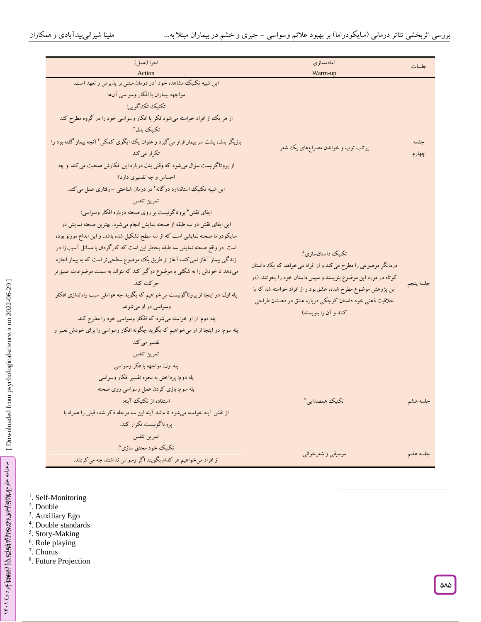$\overline{a}$ 

| اجرا (عمل)                                                                                   | آمادهسازى                                                        | جلسات     |
|----------------------------------------------------------------------------------------------|------------------------------------------------------------------|-----------|
| Action                                                                                       | Warm-up                                                          |           |
| این شبیه تکنیک مشاهده خود <sup>۱</sup> در درمان مبتنی بر پذیرش و تعهد است.                   |                                                                  |           |
| مواجهه بيماران با افكار وسواسي آنها                                                          |                                                                  |           |
| تكنيك تك گويي:                                                                               |                                                                  |           |
| از هر یک از افراد خواسته میشود فکر یا افکار وسواسی خود را در گروه مطرح کند                   |                                                                  |           |
| تكنيك بدل":                                                                                  |                                                                  |           |
| بازیگر بدل، پشت سر بیمار قرار می گیرد و عنوان یک ایگوی کمکی " آنچه بیمار گفته بود را         | پرتاب توپ و خواندن مصراعهای یک شعر                               | جلسه      |
| تكرار مي كند                                                                                 |                                                                  | چهارم     |
| از پروتاگونیست سؤال میشود که وقتی بدل درباره این افکارش صحبت می کند او چه                    |                                                                  |           |
| احساس و چه تفسیری دارد؟                                                                      |                                                                  |           |
| این شبیه تکنیک استاندارد دوگانه <sup>۶</sup> در درمان شناخت <sub>ی</sub> –رفتاری عمل می کند. |                                                                  |           |
| تمرين تنفس                                                                                   |                                                                  |           |
| ایفای نقش ٔ پروتاگونیست بر روی صحنه درباره افکار وسواسی:                                     |                                                                  |           |
| این ایفای نقش در سه طبقه از صحنه نمایش انجام میشود. بهترین صحنه نمایش در                     |                                                                  |           |
| سایکودراما صحنه نمایشی است که از سه سطح تشکیل شده باشد. و این ابداع مورنو بوده               |                                                                  |           |
| است. در واقع صحنه نمایش سه طبقه بخاطر این است که کارگردان با مسائل آسیبزا در                 | تكنيك داستانسازي <sup>م</sup> :                                  |           |
| زندگی بیمار آغاز نمی کند، آغاز از طریق یک موضوع سطحیتر است که به بیمار اجازه                 | درمانگر موضوعی را مطرح می کند و از افراد میخواهد که یک داستان    |           |
| میدهد تا خودش را به شکلی با موضوع درگیر کند که بتواند به سمت موضوعات عمیق تر                 | کوتاه در مورد این موضوع بنویسند و سپس داستان خود را بخوانند. (در |           |
| حركت كند.                                                                                    | این پژوهش موضوع مطرح شده، عشق بود و از افراد خواسته شد که با     | جلسه ينجم |
| پله اول: در اینجا از پروتاگونیست میخواهیم که بگوید چه عواملی سبب راهاندازی افکار             | خلاقیت ذهنی خود داستان کوچکی درباره عشق در ذهنشان طراحی          |           |
| وسواسي در او مي شوند.                                                                        | کنند و آن را بنویسند)                                            |           |
| پله دوم: از او خواسته میشود که افکار وسواسی خود را مطرح کند.                                 |                                                                  |           |
| پله سوم: در اینجا از او میخواهیم که بگوید چگونه افکار وسواسی را برای خودش تعبیر و            |                                                                  |           |
| تفسیر می کند                                                                                 |                                                                  |           |
| تمرين تنفس                                                                                   |                                                                  |           |
| پله اول: مواجهه با فکر وسواسي                                                                |                                                                  |           |
| پله دوم: پرداختن به نحوه تفسیر افکار وسواسی                                                  |                                                                  |           |
| پله سوم: بازی کردن عمل وسواسی روی صحنه                                                       |                                                                  |           |
| استفاده از تكنيك آينه:                                                                       | تكنيك همصدايي <sup>٧</sup>                                       | جلسه ششم  |
| از نقش آینه خواسته میشود تا مانند آینه این سه مرحله ذکر شده قبلی را همراه با                 |                                                                  |           |
| پروتاگونیست تکرار کند.                                                                       |                                                                  |           |
| تمرين تنفس                                                                                   |                                                                  |           |
| تكنيك خود محقق سازى^                                                                         |                                                                  |           |
| از افراد می خواهیم هر کدام بگویند اگر وسواس نداشتند چه می کردند.                             | موسیقی و شعرخوانی                                                | جلسه هفتم |

- <sup>1</sup>. Self-Monitoring
- 2 . Double
- 3 . Auxiliary Ego 4 . Double standards
- <sup>5</sup>. Story-Making
- 
- <sup>6</sup>. Role playing<br><sup>7</sup>. Chorus
- 8 . Future Projection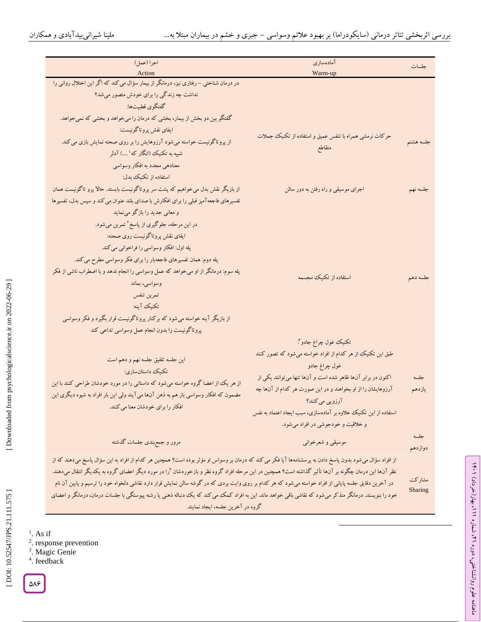$\overline{\phantom{a}}$ 

| اجرا (عمل)                                                                                                                                                          | آمادەسازى                                                        | جلسات     |
|---------------------------------------------------------------------------------------------------------------------------------------------------------------------|------------------------------------------------------------------|-----------|
| Action<br>در درمان شناختی – رفتاری نیز، درمانگر از بیمار سؤال می کند که اگر این اختلال روانی را                                                                     | Warm-up                                                          |           |
| نداشت چه زندگی را برای خودش متصور میشد؟                                                                                                                             |                                                                  |           |
| گفتگوی قطبیتها:                                                                                                                                                     |                                                                  |           |
| گفتگو بین دو بخش از بیمار، بخشی که درمان را میخواهد و بخشی که نمیخواهد.                                                                                             |                                                                  |           |
| ايفاي نقش پروتاگونيست:                                                                                                                                              |                                                                  |           |
| از پروتاگونیست خواسته میشود آرزوهایش را بر روی صحنه نمایش بازی می کند.                                                                                              | حرکات نرمشی همراه با تنفس عمیق و استفاده از تکنیک جملات          | جلسه هشتم |
| شبیه به تکنیک (انگار که' ) آدلر                                                                                                                                     | متقاطع                                                           |           |
| معنادهي مجدد به افكار وسواسي                                                                                                                                        |                                                                  |           |
| استفاده از تکنیک بدل:                                                                                                                                               |                                                                  |           |
| از بازیگر نقش بدل میخواهیم که پشت سر پروتاگونیست بایستد. حالا پرو تاگونیست همان                                                                                     | اجرای موسیقی و راه رفتن به دور سالن                              | جلسه نهم  |
| تفسیرهای فاجعه آمیز قبلی را برای افکارش با صدای بلند عنوان می کند و سپس بدل، تفسیرها                                                                                |                                                                  |           |
| و معانی جدید را بازگو مینماید                                                                                                                                       |                                                                  |           |
| در این مرحله، جلوگیری از پاسخ <sup>۲</sup> تمرین میشود.                                                                                                             |                                                                  |           |
| ایفای نقش پروتاگونیست روی صحنه:                                                                                                                                     |                                                                  |           |
| پله اول: افکار وسواسي را فراخواني مي کند.                                                                                                                           |                                                                  |           |
| پله دوم: همان تفسیرهای فاجعهبار را برای فکر وسواسی مطرح می کند.                                                                                                     |                                                                  |           |
| پله سوم: درمانگر از او میخواهد که عمل وسواسی را انجام ندهد و با اضطراب ناشی از فکر                                                                                  | استفاده از تکنیک مجسمه                                           | جلسه دهم  |
| وسواسى، بماند                                                                                                                                                       |                                                                  |           |
| تمرين تنفس                                                                                                                                                          |                                                                  |           |
| تكنيك آينه:                                                                                                                                                         |                                                                  |           |
| از بازیگر آینه خواسته میشود که برکنار پروتاگونیست قرار بگیرد و فکر وسواسی                                                                                           |                                                                  |           |
| پروتاگونیست را بدون انجام عمل وسواسی تداعی کند                                                                                                                      |                                                                  |           |
|                                                                                                                                                                     | تكنيك غول چراغ جادو":                                            |           |
| این جلسه تلفیق جلسه نهم و دهم است                                                                                                                                   | طبق این تکنیک از هر کدام از افراد خواسته میشود که تصور کنند      |           |
| تكنيك داستانسازي:                                                                                                                                                   | غول چراغ جادو                                                    |           |
| از هر یک از اعضا گروه خواسته میشود که داستانی را در مورد خودشان طراحی کنند با این                                                                                   | اکنون در برابر آنها ظاهر شده است و آنها تنها می توانند یکی از    | جلسه      |
| مضمون که افکار وسواسی باز هم به ذهن آنها می آیند ولی این بار افراد به شیوه دیگری این                                                                                | آرزوهایشان را از او بخواهند و در این صورت هر کدام از آنها چه     | يازدهم    |
| افکار را برای خودشان معنا می کنند.                                                                                                                                  | آرزویی میکنند؟                                                   |           |
|                                                                                                                                                                     | استفاده از این تکنیک علاوه بر آمادهسازی، سبب ایجاد اعتماد به نفس |           |
|                                                                                                                                                                     | و خلاقیت و خودجوشی در افراد میشود.                               |           |
| مرور و جمع بندی جلسات گذشته                                                                                                                                         | موسیقی و شعرخوانی                                                | جلسه      |
|                                                                                                                                                                     |                                                                  | دوازدهم   |
| از افراد سؤال میشود بدون پاسخ دادن به پرسشنامهها آیا فکر می کند که درمان بر وسواس او مؤثر بوده است؟ همچنین هر کدام از افراد به این سؤال پاسخ میدهند که از           |                                                                  |           |
| نظر آنها این درمان چگونه بر آنها تأثیر گذاشته است؟ همچنین در این مرحله افراد گروه نظر و بازخوردشان <sup>۶</sup> را در مورد دیگر اعضای گروه به یکدیگر انتقال میدهند. |                                                                  | مشاركت    |
| در آخرین دقایق جلسه پایانی از افراد خواسته میشود که هر کدام بر روی وایت بردی که در گوشه سالن نمایش قرار دارد نقاشی دلخواه خود را ترسیم و پایین آن نام               |                                                                  | Sharing   |
| خود را بنویسند. درمانگر متذکر میشود که نقاشی باقی خواهد ماند. این به افراد کمک می کند که یک دنباله ذهنی یا رشته پیوستگی با جلسات درمان، درمانگر و اعضای             |                                                                  |           |
| گروه در آخرین جلسه، ایجاد نمایند.                                                                                                                                   |                                                                  |           |

 [\[ DOI: 10.52547/JPS.21.111.575 \]](http://dx.doi.org/10.52547/JPS.21.111.575) [\[ Downloaded from psychologicalscience.i](https://psychologicalscience.ir/article-1-1077-fa.html)r on 2022-06-29 ]

[DOI: 10.52547/JPS.21.111.575]

[Downloaded from psychologicalscience.ir on 2022-06-29]

- <sup>1</sup>. As if<br><sup>2</sup>. response prevention<br><sup>3</sup>. Magic Genie
- 
- 4 . feedback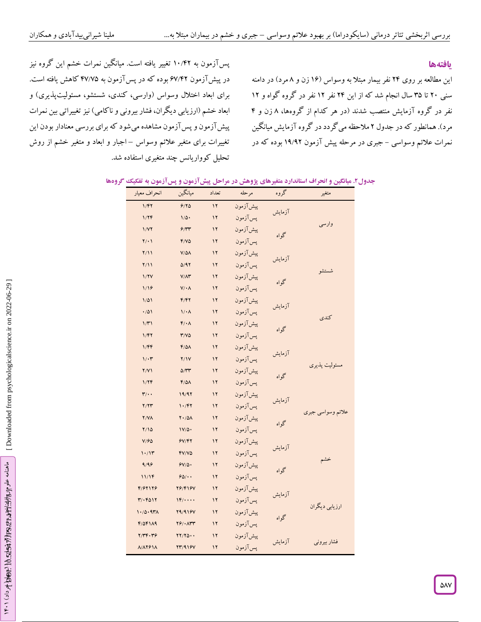## **یافتهها**

این مطالعه بر روی ۲۴ نفر بیمار مبتلاً به وسواس (۱۶ زن و ۸ مرد) در دامنه سنی ۲۰ تا ۳۵ سال انجام شد که از این ۲۴ نفر ۱۲ نفر در گروه گواه و ۱۲<br>نفر در گروه آزمایش منتصب شدند (در هر کدام از گروهها، ۸ زن و ۴ مرد). همانطور که در جدول ۲ ملاحظه می گردد در کروه آزمایش میانگین نمرات علائم وسواسی – جبری در مرحله پیش آزمون ۱۹/۹۲ بوده که در

پس آزمون به ۱۰/۴۲ تغییر یافته است. میانکین نمرات خشم این گروه نیز در پیش آزمون ۶۷/۴۲ بوده که در پس آزمون به ۴۷/۷۵ کاهش یافته است. برای ابعاد اختالل وسواس )وارسی، کندی، شستشو، مسئولیتپذیری( و ابعاد خشم (ارزیابی دیگران، فشار بیرونی و ناکامی) نیز تغییراتی بین نمرات پیشآزمون و پسآزمون مشاهده میشود که برای بررسی معنادار بودن این تغییرات برای متغیر علائم وسواس –اجبار و ابعاد و متغیر خشم از روش تحلیل کوواریانس چند متغیری استفاده شد.

| انحراف معيار             | ميانگين                              | تعداد         | مرحله     | گروه   | متغير             |
|--------------------------|--------------------------------------|---------------|-----------|--------|-------------------|
| 1/FY                     | 9/80                                 | $\mathbf{1}$  | پیش آزمون |        |                   |
| 1/7F                     | $1/\Delta$ .                         | ١٢            | پس آزمون  | آزمايش |                   |
| 1/YY                     | 9/77                                 | $\mathcal{N}$ | پیش آزمون | گواه   | وارسى             |
| $Y/\cdot$                | $Y/V\Delta$                          | $\mathcal{N}$ | پسآزمون   |        |                   |
| Y/11                     | $V/\Delta\Lambda$                    | ١٢            | پیش آزمون | آزمايش |                   |
| Y/11                     | $\Delta$ /9٢                         | ١٢            | پس آزمون  |        | شستشو             |
| 1/7V                     | $V/\Lambda$ ۳                        | $\mathcal{N}$ | پیش آزمون | گواه   |                   |
| 1/19                     | $V/\cdot \Lambda$                    | $\mathcal{N}$ | پس آزمون  |        |                   |
| $1/\Delta$               | F/FY                                 | $\mathcal{N}$ | پیش آزمون | آزمايش |                   |
| .701                     | $1/\cdot \Lambda$                    | $\mathcal{N}$ | پس آزمون  |        | كندى              |
| $1/\mathcal{r}$          | $F/\cdot \Lambda$                    | ١٢            | پیش آزمون | گواه   |                   |
| 1/FY                     | $Y/V\Delta$                          | $\mathcal{N}$ | پس آزمون  |        |                   |
| 1/FF                     | $F/\Delta\Lambda$                    | ١٢            | پیش آزمون | آزمايش |                   |
| $1/\cdot 7$              | Y/Y                                  | ١٢            | يس آزمون  |        | مسئوليت پذيري     |
| Y/Y                      | $\Delta/\Upsilon\Upsilon$            | $\mathcal{N}$ | پیش آزمون | گواه   |                   |
| 1/7F                     | $F/\Delta\Lambda$                    | $\mathcal{N}$ | پس آزمون  |        |                   |
| $\mathbf{r}/\cdot$       | 19/97                                | $\mathcal{N}$ | پیشآزمون  | آزمايش |                   |
| Y/YY                     | 1.797                                | ١٢            | پسآزمون   |        | علائم وسواسي جبري |
| $Y/Y\Lambda$             | $Y \cdot / \Delta \Lambda$           | ۱۲            | پیش آزمون | گواه   |                   |
| $Y/\Omega$               | $1V/\Delta$                          | ۱۲            | پس آزمون  |        |                   |
| V/FQ                     | 9V/FY                                | $\mathcal{N}$ | پیش آزمون | آزمايش |                   |
| 1.11                     | $Y/Y/\gamma$                         | ١٢            | پس آزمون  |        | خشم               |
| 9/99                     | $9V/\Delta$                          | ١٢            | پیشآزمون  | گواه   |                   |
| 11/19                    | $90/$ .                              | ١٢            | پس آزمون  |        |                   |
| 4197179                  | <b>78/418V</b>                       | $\mathcal{N}$ | پیش آزمون | آزمايش |                   |
| $Y/\cdot Y$ $\wedge Y$   | $\mathcal{W}/\cdots$                 | $\mathcal{N}$ | پس آزمون  |        | ارزيابي ديگران    |
| 1.70.97                  | <b>79/918V</b>                       | ١٢            | پیش آزمون | گواه   |                   |
| $F/\Delta F$ $1\Delta$ 9 | $Y$ $9$ $/$ $\cdot$ $\wedge$ $Y$ $Y$ | $\mathcal{N}$ | يس آزمون  |        |                   |
| Y/YF. Y9                 | $YY/Y\Delta\cdot\cdot$               | ١٢            | پیش آزمون | آزمايش | فشار بيروني       |
| <b>N/AYSIA</b>           | <b>TT/918V</b>                       | ١٢            | پس آزمون  |        |                   |

#### **. میانگین و انحراف استاندارد متغیرهای پژوهش در مراحل پیشآزمون و پسآزمون به تفکیک گروهها جدو ل2**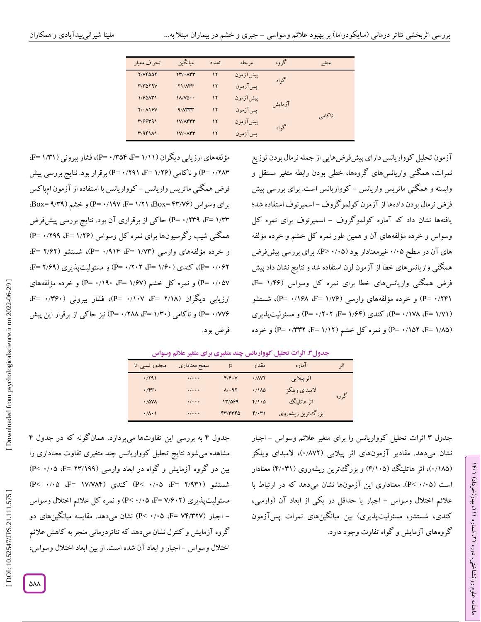| انحراف معبار          | ميانگين                      | تعداد         | مر حله    | گروه   | متغىر  |  |
|-----------------------|------------------------------|---------------|-----------|--------|--------|--|
| Y/VFAAY               | $YY/\cdot \Lambda YY$        | $\mathcal{N}$ | ييش آزمون | گو اه  |        |  |
| <b>T/TOTAV</b>        | <b>YI/ATT</b>                | $\mathbf{y}$  | يس آزمون  |        |        |  |
| $1/60$ A۳)            | $1\Lambda/V\Delta\cdot\cdot$ | $\mathbf{y}$  | پیش آزمون | آزمایش |        |  |
| $Y/\cdot \Lambda$ $Y$ | $9/1$ $TT$                   | $\mathbf{y}$  | يس آزمون  |        | ناكامى |  |
| 7/99791               | <b>IV/ATTT</b>               | $\mathbf{y}$  | پیش آزمون | گو آه  |        |  |
| T/9F1A1               | $1V/\cdot \Lambda^{\mu}$     | $\mathbf{y}$  | يس آزمون  |        |        |  |
|                       |                              |               |           |        |        |  |

مؤلفههای ارزیابی دیگران (۱/۱۱ F= ۱/۳۵۴، +P=)، فشار بیرونی (۱/۳۱ F= P= ۰/۲۸۳) و ناکامی (۱/۲۶ F= ۱/۲۹) برقرار بود. نتایج بررسی پیش فرض همگنی ماتریس واریانس – گوواریانس با استفاده از آزمون امباکس برای وسواس (Box= ۴۳/۷۶، Box= ۱/۲۱، Box= ۴۳/۷۶، او خشم (Box= ۹/۳۹، P= ۰/۲۳۹ ،F= ۱/۳۳) حاکی از برقراری آن بود. نتایج بررسی پیشفرض همگنی شیب رگرسیونها برای نمره کل وسواس (P= ۰/۲۹۹ ،F= ۱/۲۶) و خرده مؤلفههای وارسی (۱/۷۳ E= ۱/۹۱۴، P=)، شستشو (F= ۲/۶۲) P= ۱/۶۲ (P= ۱/۶۰) (۱/۴۰ F= ۱/۶۰) و مسئولیتپذیری (F= ۲/۶۹). P= ۰/۰۵۷) و نمره کل خشم (۱/۶۷ =P= ۰/۱۹۰، +P=) و خرده مؤلفههای ارزیابی دیگران (۲/۱۸ F= ۲/۱۰۷، F=)، فشار بیرونی (۴۶۰/۰۰ F=)، ( نیز حاکی از برقرار این پیش P = 9 /288 ، F = 1 ( و ناکامی )/39 P = 9 /771 فرض بود.

آزمون تحلیل کوواریانس دارای پیشفرضهایی از جمله نرمال بودن توزیع نمرات، همگنی واریانسهای گروهها، خطی بودن رابطه متغیر مستقل و وابسته و همکنی ماتریس واریانس – کوواریانس است. برای بررسی پیش فرض نرمال بودن دادهها از آزمون کولمو کروف –اسمیرنوف استفاده شد؛ یافتهها نشان داد که آماره کولموکروف – اسمیرنوف برای نمره کل وسواس و خرده مؤلفههای آن و همین طور نمره کل خشم و خرده مؤلفه های آن در سطح ۰/۰۵ غیرمعنادار بود (۰/۰۵-P). برای بررسی پیشفرض همگنی واریانسهای خطا از آزمون لون استفاده شد و نتایج نشان داد پیش<br>فرض همگنی واریانسهای خطا برای نمره کل وسواس (۱/۴۶ =F، P= ۰/۲۴۱) و خرده مؤلفههای وارسی (۱/۷۶ =F، ۱/۹۸). شستشو (P= ۰/۱۷۸ ،F= ۱/۷۱). کندی (۱/۶۴ F= ۱/۶۴) (۱۲۰۲ -P) و مسئولیتپذیری (P= ۰/۱۵۲ ،F= ۱/۸۵) و نمره کل خشم (۱/۱۲ F= ۰/۳۳۲ ،F= ۱/۱۲) و خرده

| جدول۳. اثرات تحلیل کوواریانس چند متغیری برای متغیر علائم وسواس |  |  |  |  |  |
|----------------------------------------------------------------|--|--|--|--|--|
|----------------------------------------------------------------|--|--|--|--|--|

| مجذور نسبی اتا                        | سطح معنادارى              | F            | مقدار | آماره             | اثر  |
|---------------------------------------|---------------------------|--------------|-------|-------------------|------|
| .791                                  | $\cdot/\cdot\cdot\cdot$   | $F/F\cdot V$ | .701  | اثر پیلایی        |      |
| $\cdot$ $/$ $\uparrow \uparrow \cdot$ | $\cdot/\cdot\cdot\cdot$   | $A/\cdot AY$ | .11A  | لامبداي ويلكز     |      |
| .78V                                  | $\cdot/\cdot\cdot\cdot$   | 13/089       | F/1.0 | اثر هاتلينگ       | گروه |
| $\cdot/\lambda\cdot1$                 | $\cdot$ / $\cdot$ $\cdot$ | FT/776       | ۴/۰۳۱ | بزرگ ترین ریشهروی |      |

جدول ۴ به بررسی این تفاوتها میپردازد. همان کونه که در جدول ۴ مشاهده میشود نتایج تحلیل کوواریانس چند متغیری تفاوت معناداری را بین دو گروه آزمایش و گواه در ابعاد وارسی (۱۹۹/۱۹۹ =P< ۰/۰۵) )P< 9 /99 ،F= 17 /784 کندی ) )P< 9 /99 ،F= 2 /531 شستشو ) مسئولیت پذیری (F= ۷/۶۰۲ )، P< ۰/۰۵ (P<) و نمره کل علائم اختلال وسواس – اجبار (F= V۴/۳۲۷ و P< ۰/۰۵) نشان میدهد. مقایسه میانگینهای دو گروه آزمایش و کنترل نشان میدهد که تئاتردرمانی منجر به کاهش عالئم اختلال وسواس - اجبار و ابعاد آن شده است. از بین ابعاد اختلال وسواس،

جدول ۳ اثرات تحلیل کوواریانس را برای متغیر علائم وسواس – اجبار نشان میدهد. مقادیر آزمونهای اثر پیلایی (۱۸۷۲)، لامبدای ویلکز (۱۸۵/۱۸۵)، اثر هاتلینگ (۴/۱۰۵) و بزرگ ترین ریشهروی (۴/۰۳۱) معنادار است (۰٬۰۵–Pc). معناداری این آزمونها نشان میدهد که در ارتباط با علائم اختلال وسواس – اجبار یا حداقل در یکی از ابعاد آن (وارسی، کندی، شستشو، مسئولیتپذیری) بین میانگینهای نمرات پسآزمون گروههای آزمایش و گواه تفاوت وجود دارد.

ラン

، بهار)خرداد( 111

، شماره 21

ماهنامه علوم روانشناختی، دوره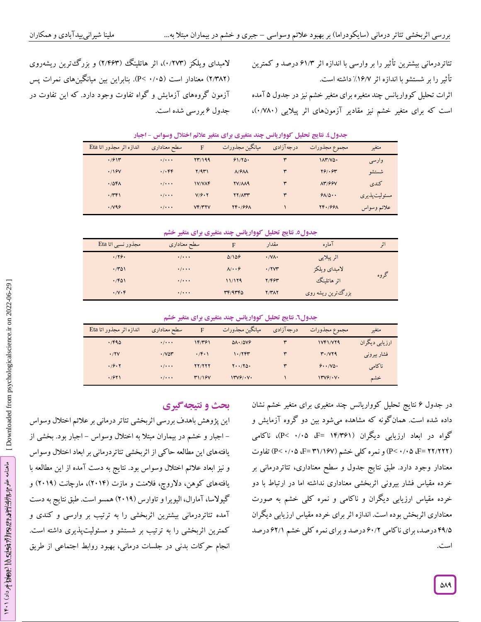لامبدای ویلکز (۱۲۷۳)، اثر هاتلینگ (۲/۴۶۳) و بزرگترین ریشهروی (۲/۳۸۲) معنادار است (۰/۰۵–Pc). بنابراین بین میانگینهای نمرات پس آزمون گروههای آزمایش و گواه تفاوت وجود دارد. که این تفاوت در جدول ۶ بررسی شده است.

تئاتردرمانی بیشترین تاثیر را بر وارسی با اندازه اثر ۶۱/۳ درصد و کمترین تأثیر را بر شستشو با اندازه اثر ۱۶/۷٪ داشته است. اثرات تحلیل کوواریانس چند متغیره برای متغیر خشم نیز در جدول ۵ آمده است که برای متغیر خشم نیز مقادیر آزمونهای اثر پیلایی (۱/۷۸۰)،

| اندازه اثر مجذور اتا Eta | سطح معناداري              | F             | ميانگين مجذورات                         | درجه آزادی | مجموع مجذورات | متغير         |
|--------------------------|---------------------------|---------------|-----------------------------------------|------------|---------------|---------------|
| .7911                    | $\cdot$ / $\cdot$ $\cdot$ | YY/199        | 91/80.                                  | ٣          | 11Y/YQ.       | وارسى         |
| .19V                     | .4.99                     | Y/9T          | $\Lambda$ / $\mathcal{F}\Lambda\Lambda$ | ٣          | Y91.94        | شستشو         |
| .78F <sub>A</sub>        | $\cdot$ / $\cdot$ $\cdot$ | <b>IV/VAF</b> | <b>TV/M9</b>                            | ٣          | <b>AM/99V</b> | كندى          |
| .749                     | $\cdot$ / $\cdot$ $\cdot$ | V/F.7         | <b>YY/ATT</b>                           | ٣          | 91/0.0        | مسئوليت پذيري |
| .799                     | $\cdot$ / $\cdot$ $\cdot$ | VF/YYV        | YF.799A                                 |            | YF.799A       | علائم وسواس   |

جدول £. نتایج تحلیل کوواریانس چند متغیری برای متغیر علائم اختلال وسواس - اجبار

**. نتایج تحلیل کوواریانس چند متغیری برای متغیر خشم جدو ل9**

| مجذور نسبي اتا Eta    | سطح معناداري              | F                          | مقدار                             | آماره              | انی  |
|-----------------------|---------------------------|----------------------------|-----------------------------------|--------------------|------|
| .779.                 | $\cdot$ / $\cdot$ $\cdot$ | 0/109                      | $\cdot$ / $\vee$ $\wedge$ $\cdot$ | اثر پیلایی         |      |
| .701                  | $\cdot$ / $\cdot$ $\cdot$ | $\lambda/\cdot\cdot\theta$ | .77V                              | لامبداي ويلكز      |      |
| .761                  | $\cdot$ / $\cdot$ $\cdot$ | 11/179                     | 7/694                             | اثر هاتلینگ        | کروه |
| $\cdot$ / $V \cdot F$ | $\cdot$ / $\cdot$ $\cdot$ | rr/4rr0                    | Y/YAY                             | بزرگ ترین ریشه روی |      |

**. نتایج تحلیل کوواریانس چند متغیری برای متغیر خشم جدو ل6**

| اندازه اثر مجذور اتا Eta | سطح معناداري              | F                  | ميانگين مجذورات              | درجه آزادی | مجموع مجدورات   | متغير          |
|--------------------------|---------------------------|--------------------|------------------------------|------------|-----------------|----------------|
| .790                     | $\cdot$ / $\cdot$ $\cdot$ | 14/٣۶١             | $\Delta\Lambda$ . $\Delta V$ |            | <b>IVF1/VT9</b> | ارزيابي ديگران |
| .7YV                     | $\cdot$ / $V\Delta V$     | $\cdot$ $\uparrow$ | ۱۰/۲۴۳                       | ٣          | T.7Y19          | فشار بیرونی    |
| .79.7                    | $\cdot$ / $\cdot$ $\cdot$ | <b>YY/YYY</b>      | $Y \cdot \cdot / Y \Delta$   | ٣          | 9.11            | ناكامى         |
| .7911                    | $\cdot$ / $\cdot$ $\cdot$ | T1/19V             | 1749/14                      |            | $\frac{14}{9}$  | خشم            |

در جدول ۶ نتایج تحلیل کوواریانس چند متغیری برای متغیر خشم نشان داده شده است. همانگونه که مشاهده میشود بین دو گروه آزمایش و گواه در ابعاد ارزیابی دیگران (۱۴/۳۶۱ =G، ۰/۰۵- P<)، ناکامی (P< ۰/۰۵ ،F= ۲۲/۲۲۲) و نمره کلی خشم (F= ۳۱/۱۶۷، ۲۵) تفاوت معنادار وجود دارد. طبق نتایج جدول و سطح معناداری، تئاتردرمانی بر خرده مقیاس فشار بیرونی اثربخشی معناداری نداشته اما در ارتباط با دو خرده مقیاس ارزیابی دیگران و ناکامی و نمره کلی خشم به صورت معناداری اثربخش بوده است. اندازه اثر برای خرده مقیاس ارزیابی دیگران ۴۹/۵ درصد، برای نا کامی ۶۰/۲ درصد و برای نمره کلی خشم ۶۲/۱ درصد است.

# **ی نتیجهگیر بحث و**

این پژوهش باهدف بررسی اثربخشی تئاتر درمانی بر عالئم اختالل وسواس – اجبار و خشم در بیماران مبتلاً به اختلال وسواس – اجبار بود. بخشی از یافتههای این مطالعه حاکی از اثربخشی تئاتردرمانی بر ابعاد اختالل وسواس و نیز ابعاد عالئم اختالل وسواس بود. نتایج به دست آمده از این مطالعه با یافتههای کوهن، دلاروچ، فلامنت و مازت (۲۰۱۴)، مارچانت (۲۰۱۹) و گیوالسا،آمارال، الیویرا و تاوارس )2915( همسو است. طبق نتایج به دست آمده تئاتردرمانی بیشترین اثربخشی را به ترتیب بر وارسی و کندی و کمترین اثربخشی را به ترتیب بر شستشو و مسئولیتپذیری داشته است. انجام حرکات بدنی در جلسات درمانی، بهبود روابط اجتماعی از طریق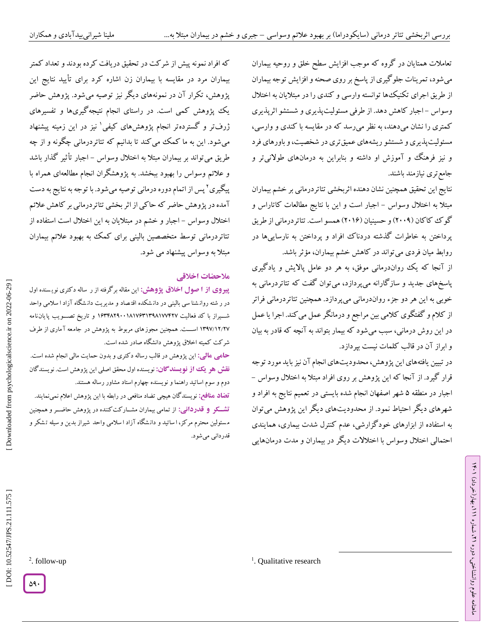تعامالت همتایان در گروه که موجب افزایش سطح خلق و روحیه بیماران میشود، تمرینات جلوگیری از پاسخ بر روی صحنه و افزایش توجه بیماران از طریق اجرای تکنیکها توانسته وارسی و کندی را در مبتالیان به اختالل وسواس –اجبار کاهش دهد. از طرفی مسئولیتپدیری و شستشو اترپدیری کمتری را نشان میدهند، به نظر میرسد که در مقایسه با کندی و وارسی، مسئولیتپذیری و شستشو ریشههای عمیق تری در شخصیت، و باورهای فرد و نیز فرهنگ و آموزش او داشته و بنابراین به درمانهای طوالنیتر و جامعتری نیازمند باشند.

نتایج این تحقیق همچنین نشان دهنده اثربخشی تئاتردرمانی بر خشم بیماران مبتلاً به اختلال وسواس – اجبار است و این با نتایج مطالعات کاتاراس و کو ک کا کان (۲۰۰۹) و حسینیان (۲۰۱۶) همسو است. تئاتردرمانی از طریق پرداختن به خاطرات گذشته دردناک افراد و پرداختن به نارساییها در روابط میان فردی میتواند در کاهش خشم بیماران، مؤثر باشد.

از آنجا که یک رواندرمانی موفق، به هر دو عامل پالایش و یادگیری پاسخهای جدید و سازگارانه میپردازد، میتوان گفت که تئاتردرمانی به خوبی به این هر دو جزء رواندرمانی میپردازد. همچنین تئاتردرمانی فراتر از کالم و گفتگوی کالمی بین مراجع و درمانگر عمل میکند. اجرا یا عمل در این روش درمانی، سبب میشود که بیمار بتواند به آنچه که قادر به بیان و ابراز آن در قالب کلمات نیست بپردازد.

در تبیین یافتههای این پژوهش، محدودیتهای انجام آن نیز باید مورد توجه<br>قرار گیرد. از آنجا که این پژوهش بر روی افراد مبتلا به اختلال وسواس – اجبار در منطقه ۵ شهر اصفهان انجام شده بایستی در تعمیم نتایج به افراد و شهرهای دیگر احتیاط نمود. از محدودیتهای دیگر این پژوهش میتوان به استفاده از ابزارهای خودگزارشی، عدم کنترل شدت بیماری، همایندی احتمالی اختالل وسواس با اختالالت دیگر در بیماران و مدت درمانهایی

 $\overline{\phantom{a}}$ 

که افراد نمونه پیش از شرکت در تحقیق دریافت کرده بودند و تعداد کمتر بیماران مرد در مقایسه با بیماران زن اشاره کرد برای تأیید نتایج این پژوهش، تکرار آن در نمونههای دیگر نیز توصیه میشود. پژوهش حاضر یک پژوهش کمی است. در راستای انجام نتیجهگیریها و تفسیرهای ژرفتر و گستردهتر انجام پژوهشهای کیفی 1 نیز در این زمینه پیشنهاد میشود. این به ما کمک میکند تا بدانیم که تئاتردرمانی چگونه و از چه طریق می تواند بر بیماران مبتلاً به اختلال وسواس – اجبار تأثیر گدار باشد و عالئم وسواس را بهبود ببخشد. به پژوهشگران انجام مطالعهای همراه با پیگیری پس از اتمام دوره درمانی توصیه میشود. با توجه به نتایج به دست <sup>2</sup> آمده در پژوهش حاضر که حاکی از اثر بخشی تئاتردرمانی بر کاهش عالئم اختلال وسواس – اجبار و خشم در مبتلایان به این اختلال است استفاده از تئاتردرمانی توسط متخصصین بالینی برای کمک به بهبود عالئم بیماران مبتلا به وسواس پیشنهاد می شود.<br>ملا**حضات اخلاق**ی

این مقاله برگرفته از ر ساله دکتری نوی سنده اول **از ا صو ل اخالق پژوهش: پیروی** در ر شته روانشنا سی بالینی در دانشکده اقتصاد و مدیریت دانشکاه آزاد ا سلامی واحد شییییراز با کد فعالیت 1134825991817131358177427 و تاریخ تصیییویب پایان نامه ۱۳۹۷/۱۲ اســـت. همچنین مجوزهای مربوط به پژوهش در جامعه آ ماری از طرف شرکت کمیته اخلاق پژوهش دانشگاه صادر شده است.

این پژوهش در قالب رساله دکتری و بدون حمایت مالی انجام شده است. **: مالی حامی نقش هو یک از نویسندگان:** نویسنده اول محقق اصلی این پژوهش است. نویسندگان دوم و سوم اساتید راهنما و نویسنده چهارم استاد مشاور رساله هستند.

نویسندگان هیچی تضاد منافعی در رابطه با این پژوهش اعالم نمینمایند. **تضاد منافع:** از تمامی بیماران مشییارکتکننده در پژوهش حاضییر و همچنین **: قدردانی تشکککر و** م سئولین محترم مرکز، ا ساتید و دان شگاه آزاد ا سالمی واحد شیراز بدین و سیله ت شکر و قدردانی میشود.

ラン

، بهار)خرداد( 111

، شماره 21

ماهنامه علوم روانشناختی، دوره

Downloaded from psychologicalscience.ir on 2022-06-29

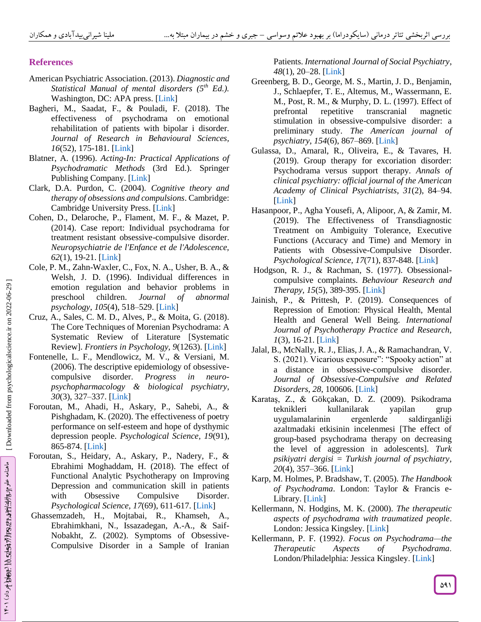# **References**

- American Psychiatric Association. (2013). *Diagnostic and Statistical Manual of mental disorders (5th Ed.).* Washington, DC: APA press. [\[Link](https://www.psychiatry.org/psychiatrists/practice/dsm) ]
- Bagheri, M., Saadat, F., & Pouladi, F. (2018). The effectiveness of psychodrama on emotional rehabilitation of patients with bipolar i disorder. *Journal of Research in Behavioural Sciences,*  16(52), 175-181. [\[Link](https://www.magiran.com/paper/1893537?lang=en)]
- Blatner, A. (1996). *Acting -In: Practical Applications of Psychodramatic Methods* (3rd Ed.). Springer Publishing Company. [\[Link](https://www.amazon.com/gp/product/B005A4R7G6/ref=dbs_a_def_rwt_hsch_vapi_tkin_p1_i0) ]
- Clark, D.A. Purdon, C. (2004)*. Cognitive theory and therapy of obsessions and compulsions*. Cambridge: Cambridge University Press. [\[Link](https://www.cambridge.org/core/journals/advances-in-psychiatric-treatment/article/cognitivebehavioural-therapy-for-obsessivecompulsive-disorder/30945D5369778179D3C07B89E43BFACB)]
- Cohen, D., Delaroche, P., Flament, M. F., & Mazet, P. (2014). Case report: Individual psychodrama for treatment resistant obsessive -compulsive disorder. *Neuropsychiatrie de l'Enfance et de l'Adolescence, 62*(1), 19 -21. [\[Link](https://www.sciencedirect.com/science/article/abs/pii/S0222961713002304) ]
- Cole, P. M., Zahn -Waxler, C., Fox, N. A., Usher, B. A., & Welsh, J. D. (1996). Individual differences in emotion regulation and behavior problems in preschool children. *Journal of abnormal psychology*, *105*(4), 518 –529. [\[Link](https://pubmed.ncbi.nlm.nih.gov/8952185/) ]
- Cruz, A., Sales, C. M. D., Alves, P., & Moita, G. (2018). The Core Techniques of Morenian Psychodrama: A Systematic Review of Literature [Systematic Review]. *Frontiers in Psychology, 9*(1263). [\[Link](https://www.frontiersin.org/articles/10.3389/fpsyg.2018.01263/full) ]
- Fontenelle, L. F., Mendlowicz, M. V., & Versiani, M. (2006). The descriptive epidemiology of obsessive compulsive disorder. *Progress in psychopharmacology & biological psychiatry*, *30*(3), 327 –337. [\[Link](https://pubmed.ncbi.nlm.nih.gov/16412548/) ]
- Foroutan, M., Ahadi, H., Askary, P., Sahebi, A., & Pishghadam, K. (2020). The effectiveness of poetry performance on self-esteem and hope of dysthymic depression people. *Psychological Science, 19*(91), 865 -874. [\[Link](http://psychologicalscience.ir/article-1-717-fa.html&sw=%D9%81%D8%B1%D9%88%D8%AA%D9%86) ]
- Foroutan, S., Heidary, A., Askary, P., Nadery, F., & Ebrahimi Moghaddam, H. (2018). The effect of Functional Analytic Psychotherapy on Improving Depression and communication skill in patients with Obsessive Compulsive Disorder. *Psychological Science, 17*(69), 611 -617. [\[Link](https://psychologicalscience.ir/article-1-264-fa.html) ]
- Ghassemzadeh, H., Mojtabai, R., Khamseh, A., Ebrahimkhani, N., Issazadegan, A. -A., & Saif-Nobakht, Z. (2002). Symptoms of Obsessive-Compulsive Disorder in a Sample of Iranian

Patients. *International Journal of Social Psychiatry*, *48*(1), 20 –28. [\[Link](https://pubmed.ncbi.nlm.nih.gov/12008904/) ]

- Greenberg, B. D., George, M. S., Martin, J. D., Benjamin, J., Schlaepfer, T. E., Altemus, M., Wassermann, E. M., Post, R. M., & Murphy, D. L. (1997). Effect of prefrontal repetitive transcranial magnetic stimulation in obsessive -compulsive disorder: a preliminary study. *The American journal of psychiatry*, *154*(6), 867 –869. [\[Link](https://pubmed.ncbi.nlm.nih.gov/9167520/) ]
- Gulassa, D., Amaral, R., Oliveira, E., & Tavares, H. (2019). Group therapy for excoriation disorder: Psychodrama versus support therapy. *Annals of clinical psychiatry: official journal of the American Academy of Clinical Psychiatrists*, *31*(2), 84 –94. [\[Link](https://pubmed.ncbi.nlm.nih.gov/31046029/) ]
- Hasanpoor, P., Agha Yousefi, A, Alipoor, A, & Zamir, M. (2019). The Effectiveness of Transdiagnostic Treatment on Ambiguity Tolerance, Executive Functions (Accuracy and Time) and Memory in Patients with Obsessive -Compulsive Disorder. *Psychological Science, 17*(71), 837 -848. [\[Link](http://psychologicalscience.ir/browse.php?a_code=A-10-66-1&slc_lang=fa&sid=1) ]
- Hodgson, R. J., & Rachman, S. (1977). Obsessional compulsive complaints. *Behaviour Research and Therapy, 15*(5), 389 -395. [\[Link](https://www.sciencedirect.com/science/article/abs/pii/0005796777900420) ]
- Jainish, P., & Prittesh, P. (2019). Consequences of Repression of Emotion: Physical Health, Mental Health and General Well Being. *International Journal of Psychotherapy Practice and Research, 1*(3), 16-21. [Link]
- Jalal, B., McNally, R. J., Elias, J. A., & Ramachandran, V. S. (2021). Vicarious exposure": "Spooky action" at a distance in obsessive -compulsive disorder. *Journal of Obsessive -Compulsive and Related Disorders, 28*, 100606. [\[Link](https://www.sciencedirect.com/science/article/abs/pii/S2211364920301275) ]
- Karataş, Z., & Gökçakan, D. Z. (2009). Psikodrama teknikleri kullanilarak yapilan grup uygulamalarinin ergenlerde saldirganliği azaltmadaki etkisinin incelenmesi [The effect of group -based psychodrama therapy on decreasing the level of aggression in adolescents]. *Turk psikiyatri dergisi = Turkish journal of psychiatry*, *20*(4), 357 –366. [\[Link](https://pubmed.ncbi.nlm.nih.gov/20013427/) ]
- Karp, M. Holmes, P. Bradshaw, T. (2005). *The Handbook of Psychodrama*. London: Taylor & Francis e - Library. [\[Link](https://www.taylorfrancis.com/books/edit/10.4324/9780203977767/handbook-psychodrama-marcia-karp-paul-holmes-kate-bradshaw-tauvon)]
- Kellermann, N. Hodgins, M. K. (2000). *The therapeutic aspects of psychodrama with traumatized people* . London: Jessica Kingsley. [\[Link](https://www.researchgate.net/publication/288115203_The_therapeutic_aspects_of_psychodrama_with_traumatized_people)]
- Kellermann, P. F. (1992 *)* . *Focus on Psychodrama —the Therapeutic Aspects of Psychodrama* . London/Philadelphia: Jessica Kingsley. [\[Link](https://www.ubcpress.ca/focus-on-psychodrama)]